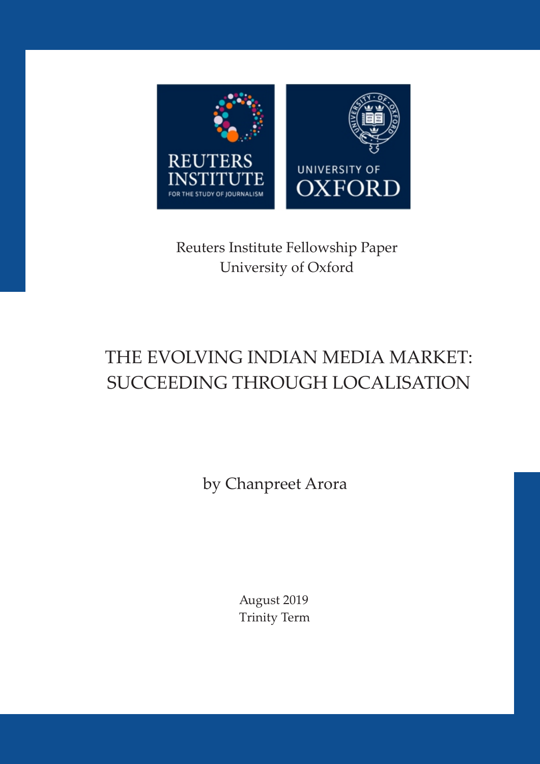

# Reuters Institute Fellowship Paper University of Oxford

# THE EVOLVING INDIAN MEDIA MARKET: SUCCEEDING THROUGH LOCALISATION

by Chanpreet Arora

August 2019 Trinity Term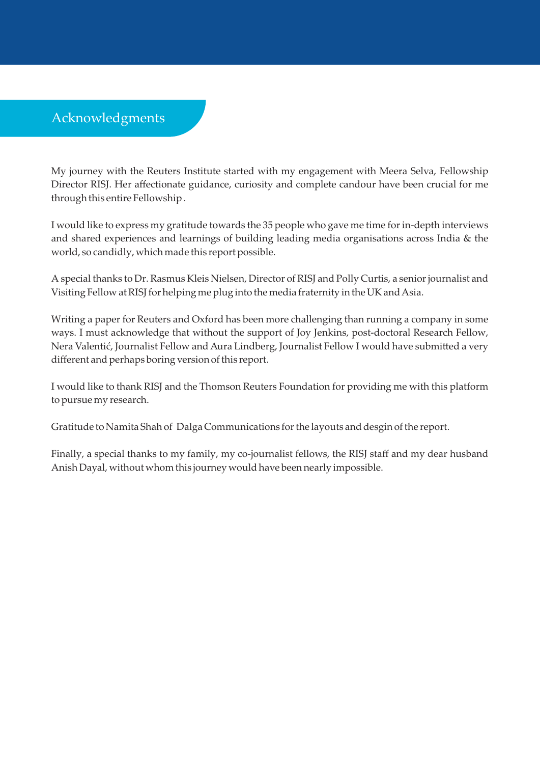# Acknowledgments

My journey with the Reuters Institute started with my engagement with Meera Selva, Fellowship Director RISJ. Her affectionate guidance, curiosity and complete candour have been crucial for me through this entire Fellowship .

I would like to express my gratitude towards the 35 people who gave me time for in-depth interviews and shared experiences and learnings of building leading media organisations across India & the world, so candidly, which made this report possible.

A special thanks to Dr. Rasmus Kleis Nielsen, Director of RISJ and Polly Curtis, a senior journalist and Visiting Fellow at RISJ for helping me plug into the media fraternity in the UK and Asia.

Writing a paper for Reuters and Oxford has been more challenging than running a company in some ways. I must acknowledge that without the support of Joy Jenkins, post-doctoral Research Fellow, Nera Valentić, Journalist Fellow and Aura Lindberg, Journalist Fellow I would have submitted a very different and perhaps boring version of this report.

I would like to thank RISJ and the Thomson Reuters Foundation for providing me with this platform to pursue my research.

Gratitude to Namita Shah of Dalga Communications for the layouts and desgin of the report.

Finally, a special thanks to my family, my co-journalist fellows, the RISJ staff and my dear husband Anish Dayal, without whom this journey would have been nearly impossible.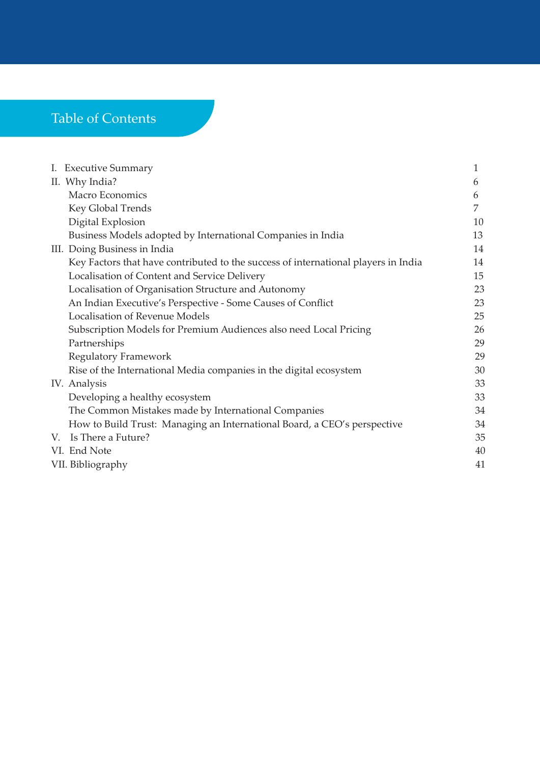# Table of Contents

| I. Executive Summary |                                                                                    |    |  |  |
|----------------------|------------------------------------------------------------------------------------|----|--|--|
|                      | II. Why India?                                                                     | 6  |  |  |
|                      | Macro Economics                                                                    | 6  |  |  |
|                      | Key Global Trends                                                                  | 7  |  |  |
|                      | Digital Explosion                                                                  | 10 |  |  |
|                      | Business Models adopted by International Companies in India                        | 13 |  |  |
|                      | III. Doing Business in India                                                       | 14 |  |  |
|                      | Key Factors that have contributed to the success of international players in India | 14 |  |  |
|                      | Localisation of Content and Service Delivery                                       | 15 |  |  |
|                      | Localisation of Organisation Structure and Autonomy                                | 23 |  |  |
|                      | An Indian Executive's Perspective - Some Causes of Conflict                        | 23 |  |  |
|                      | <b>Localisation of Revenue Models</b>                                              | 25 |  |  |
|                      | Subscription Models for Premium Audiences also need Local Pricing                  | 26 |  |  |
|                      | Partnerships                                                                       | 29 |  |  |
|                      | <b>Regulatory Framework</b>                                                        | 29 |  |  |
|                      | Rise of the International Media companies in the digital ecosystem                 | 30 |  |  |
|                      | IV. Analysis                                                                       | 33 |  |  |
|                      | Developing a healthy ecosystem                                                     | 33 |  |  |
|                      | The Common Mistakes made by International Companies                                | 34 |  |  |
|                      | How to Build Trust: Managing an International Board, a CEO's perspective           | 34 |  |  |
|                      | V. Is There a Future?                                                              | 35 |  |  |
|                      | VI. End Note                                                                       | 40 |  |  |
|                      | VII. Bibliography<br>41                                                            |    |  |  |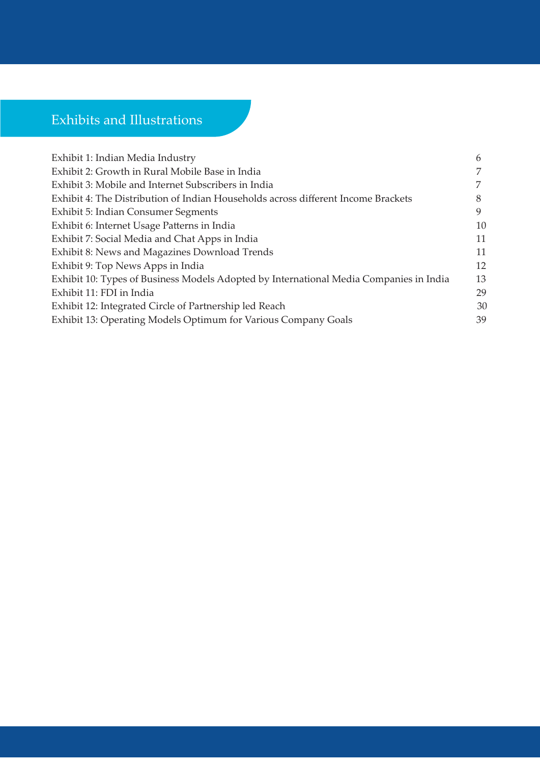# Exhibits and Illustrations

| 6  |
|----|
|    |
|    |
| 8  |
| 9  |
| 10 |
| 11 |
| 11 |
| 12 |
| 13 |
| 29 |
| 30 |
| 39 |
|    |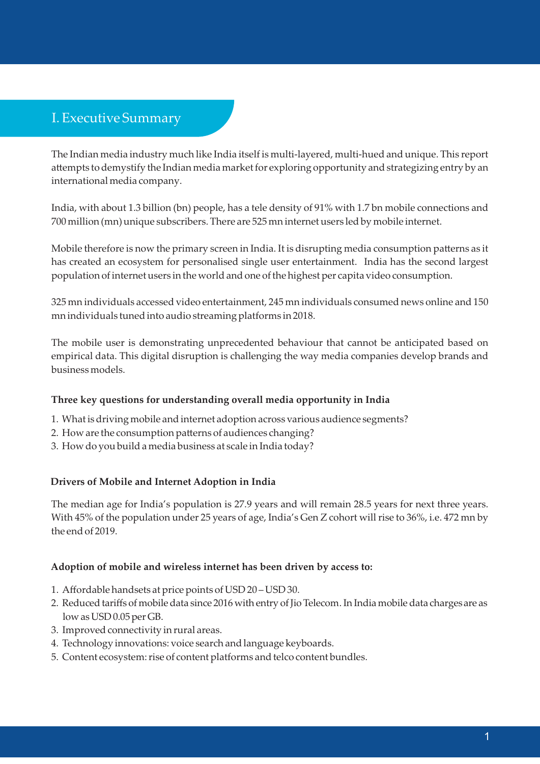# I. Executive Summary

The Indian media industry much like India itself is multi-layered, multi-hued and unique. This report attempts to demystify the Indian media market for exploring opportunity and strategizing entry by an international media company.

India, with about 1.3 billion (bn) people, has a tele density of 91% with 1.7 bn mobile connections and 700 million (mn) unique subscribers. There are 525 mn internet users led by mobile internet.

Mobile therefore is now the primary screen in India. It is disrupting media consumption patterns as it has created an ecosystem for personalised single user entertainment. India has the second largest population of internet users in the world and one of the highest per capita video consumption.

325 mn individuals accessed video entertainment, 245 mn individuals consumed news online and 150 mn individuals tuned into audio streaming platforms in 2018.

The mobile user is demonstrating unprecedented behaviour that cannot be anticipated based on empirical data. This digital disruption is challenging the way media companies develop brands and business models.

#### **Three key questions for understanding overall media opportunity in India**

- 1. What is driving mobile and internet adoption across various audience segments?
- 2. How are the consumption patterns of audiences changing?
- 3. How do you build a media business at scale in India today?

#### **Drivers of Mobile and Internet Adoption in India**

The median age for India's population is 27.9 years and will remain 28.5 years for next three years. With 45% of the population under 25 years of age, India's Gen Z cohort will rise to 36%, i.e. 472 mn by the end of 2019.

#### **Adoption of mobile and wireless internet has been driven by access to:**

- 1. Affordable handsets at price points of USD 20 USD 30.
- 2. Reduced tariffs of mobile data since 2016 with entry of Jio Telecom. In India mobile data charges are as low as USD 0.05 per GB.
- 3. Improved connectivity in rural areas.
- 4. Technology innovations: voice search and language keyboards.
- 5. Content ecosystem: rise of content platforms and telco content bundles.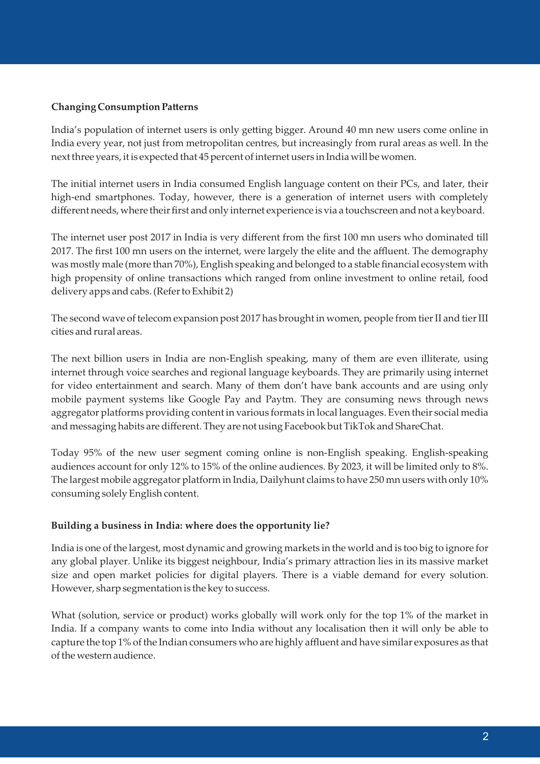#### **Changing Consumption Patterns**

India's population of internet users is only getting bigger. Around 40 mn new users come online in India every year, not just from metropolitan centres, but increasingly from rural areas as well. In the next three years, it is expected that 45 percent of internet users in India will be women.

The initial internet users in India consumed English language content on their PCs, and later, their high-end smartphones. Today, however, there is a generation of internet users with completely different needs, where their first and only internet experience is via a touchscreen and not a keyboard.

The internet user post 2017 in India is very different from the first 100 mn users who dominated till 2017. The first 100 mn users on the internet, were largely the elite and the affluent. The demography was mostly male (more than 70%), English speaking and belonged to a stable financial ecosystem with high propensity of online transactions which ranged from online investment to online retail, food delivery apps and cabs. (Refer to Exhibit 2)

The second wave of telecom expansion post 2017 has brought in women, people from tier II and tier III cities and rural areas.

The next billion users in India are non-English speaking, many of them are even illiterate, using internet through voice searches and regional language keyboards. They are primarily using internet for video entertainment and search. Many of them don't have bank accounts and are using only mobile payment systems like Google Pay and Paytm. They are consuming news through news aggregator platforms providing content in various formats in local languages. Even their social media and messaging habits are different. They are not using Facebook but TikTok and ShareChat.

Today 95% of the new user segment coming online is non-English speaking. English-speaking audiences account for only 12% to 15% of the online audiences. By 2023, it will be limited only to 8%. The largest mobile aggregator platform in India, Dailyhunt claims to have 250 mn users with only 10% consuming solely English content.

#### **Building a business in India: where does the opportunity lie?**

India is one of the largest, most dynamic and growing markets in the world and is too big to ignore for any global player. Unlike its biggest neighbour, India's primary attraction lies in its massive market size and open market policies for digital players. There is a viable demand for every solution. However, sharp segmentation is the key to success.

What (solution, service or product) works globally will work only for the top 1% of the market in India. If a company wants to come into India without any localisation then it will only be able to capture the top 1% of the Indian consumers who are highly affluent and have similar exposures as that of the western audience.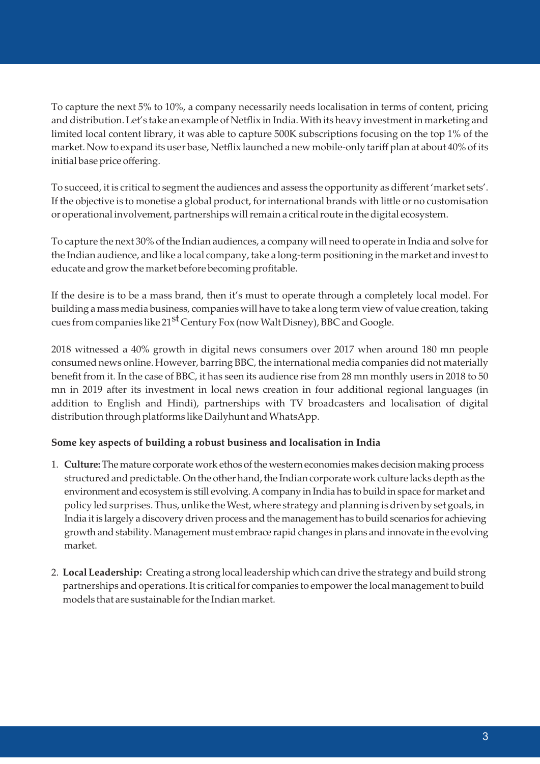To capture the next 5% to 10%, a company necessarily needs localisation in terms of content, pricing and distribution. Let's take an example of Netflix in India. With its heavy investment in marketing and limited local content library, it was able to capture 500K subscriptions focusing on the top 1% of the market. Now to expand its user base, Netflix launched a new mobile-only tariff plan at about 40% of its initial base price offering.

To succeed, it is critical to segment the audiences and assess the opportunity as different 'market sets'. If the objective is to monetise a global product, for international brands with little or no customisation or operational involvement, partnerships will remain a critical route in the digital ecosystem.

To capture the next 30% of the Indian audiences, a company will need to operate in India and solve for the Indian audience, and like a local company, take a long-term positioning in the market and invest to educate and grow the market before becoming profitable.

If the desire is to be a mass brand, then it's must to operate through a completely local model. For building a mass media business, companies will have to take a long term view of value creation, taking cues from companies like 21<sup>st</sup> Century Fox (now Walt Disney), BBC and Google.

2018 witnessed a 40% growth in digital news consumers over 2017 when around 180 mn people consumed news online. However, barring BBC, the international media companies did not materially benefit from it. In the case of BBC, it has seen its audience rise from 28 mn monthly users in 2018 to 50 mn in 2019 after its investment in local news creation in four additional regional languages (in addition to English and Hindi), partnerships with TV broadcasters and localisation of digital distribution through platforms like Dailyhunt and WhatsApp.

#### **Some key aspects of building a robust business and localisation in India**

- 1. **Culture:**The mature corporate work ethos of the western economies makes decision making process structured and predictable. On the other hand, the Indian corporate work culture lacks depth as the environment and ecosystem is still evolving. A company in India has to build in space for market and policy led surprises. Thus, unlike the West, where strategy and planning is driven by set goals, in India it is largely a discovery driven process and the management has to build scenarios for achieving growth and stability. Management must embrace rapid changes in plans and innovate in the evolving market.
- 2. **Local Leadership:** Creating a strong local leadership which can drive the strategy and build strong partnerships and operations. It is critical for companies to empower the local management to build models that are sustainable for the Indian market.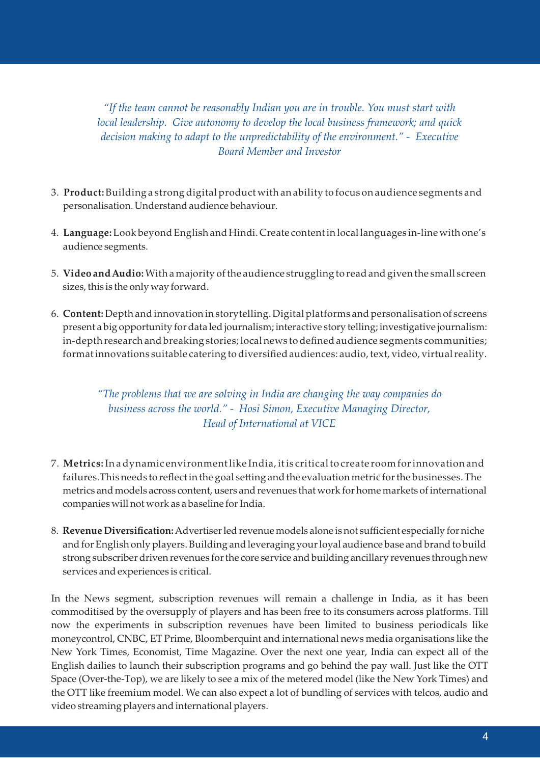*"If the team cannot be reasonably Indian you are in trouble. You must start with local leadership. Give autonomy to develop the local business framework; and quick decision making to adapt to the unpredictability of the environment." - Executive Board Member and Investor*

- 3. **Product:**Building a strong digital product with an ability to focus on audience segments and personalisation. Understand audience behaviour.
- 4. **Language:**Look beyond English and Hindi. Create content in local languages in-line with one's audience segments.
- 5. **Video and Audio:**With a majority of the audience struggling to read and given the small screen sizes, this is the only way forward.
- 6. **Content:**Depth and innovation in storytelling. Digital platforms and personalisation of screens present a big opportunity for data led journalism; interactive story telling; investigative journalism: in-depth research and breaking stories; local news to defined audience segments communities; format innovations suitable catering to diversified audiences: audio, text, video, virtual reality.

### *"The problems that we are solving in India are changing the way companies do business across the world." - Hosi Simon, Executive Managing Director, Head of International at VICE*

- 7. **Metrics:**In a dynamic environment like India, it is critical to create room for innovation and failures. This needs to reflect in the goal setting and the evaluation metric for the businesses. The metrics and models across content, users and revenues that work for home markets of international companies will not work as a baseline for India.
- 8. **Revenue Diversification:**Advertiser led revenue models alone is not sufficient especially for niche and for English only players. Building and leveraging your loyal audience base and brand to build strong subscriber driven revenues for the core service and building ancillary revenues through new services and experiences is critical.

In the News segment, subscription revenues will remain a challenge in India, as it has been commoditised by the oversupply of players and has been free to its consumers across platforms. Till now the experiments in subscription revenues have been limited to business periodicals like moneycontrol, CNBC, ET Prime, Bloomberquint and international news media organisations like the New York Times, Economist, Time Magazine. Over the next one year, India can expect all of the English dailies to launch their subscription programs and go behind the pay wall. Just like the OTT Space (Over-the-Top), we are likely to see a mix of the metered model (like the New York Times) and the OTT like freemium model. We can also expect a lot of bundling of services with telcos, audio and video streaming players and international players.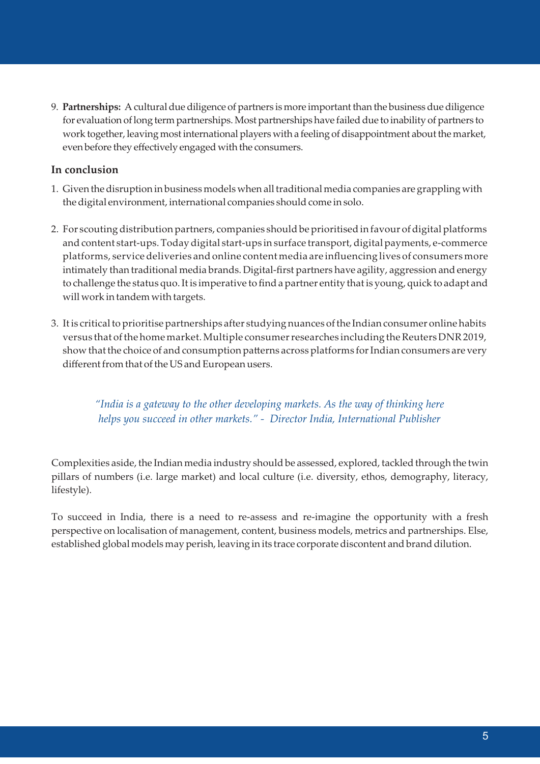9. **Partnerships:** A cultural due diligence of partners is more important than the business due diligence for evaluation of long term partnerships. Most partnerships have failed due to inability of partners to work together, leaving most international players with a feeling of disappointment about the market, even before they effectively engaged with the consumers.

#### **In conclusion**

- 1. Given the disruption in business models when all traditional media companies are grappling with the digital environment, international companies should come in solo.
- 2. For scouting distribution partners, companies should be prioritised in favour of digital platforms and content start-ups. Today digital start-ups in surface transport, digital payments, e-commerce platforms, service deliveries and online content media are influencing lives of consumers more intimately than traditional media brands. Digital-first partners have agility, aggression and energy to challenge the status quo. It is imperative to find a partner entity that is young, quick to adapt and will work in tandem with targets.
- 3. It is critical to prioritise partnerships after studying nuances of the Indian consumer online habits versus that of the home market. Multiple consumer researches including the Reuters DNR 2019, show that the choice of and consumption patterns across platforms for Indian consumers are very different from that of the US and European users.

*"India is a gateway to the other developing markets. As the way of thinking here helps you succeed in other markets." - Director India, International Publisher* 

Complexities aside, the Indian media industry should be assessed, explored, tackled through the twin pillars of numbers (i.e. large market) and local culture (i.e. diversity, ethos, demography, literacy, lifestyle).

To succeed in India, there is a need to re-assess and re-imagine the opportunity with a fresh perspective on localisation of management, content, business models, metrics and partnerships. Else, established global models may perish, leaving in its trace corporate discontent and brand dilution.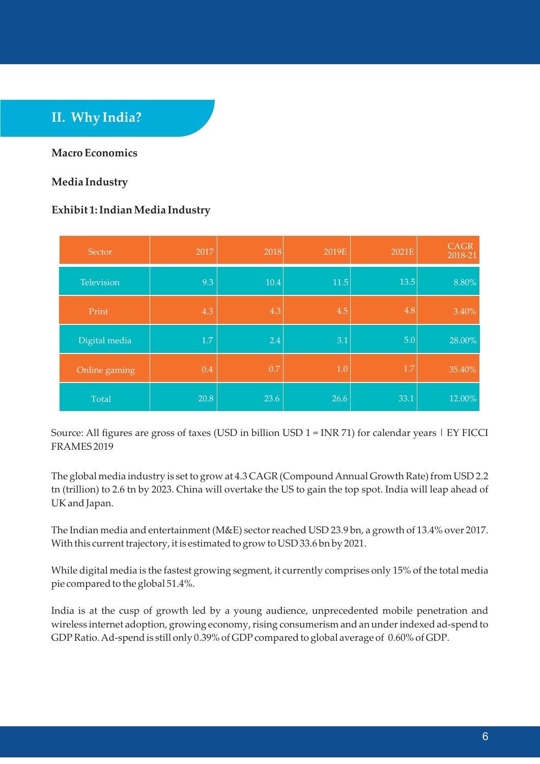# **II. Why India?**

#### **Macro Economics**

#### **Media Industry**

#### **Exhibit 1: Indian Media Industry**

| Sector        | 2017 | 2018    | 2019E | 2021E | <b>CAGR</b><br>2018-21 |
|---------------|------|---------|-------|-------|------------------------|
| Television    | 9.3  | 10.4    | 11.5  | 13.5  | 8.80%                  |
| Print         | 4.3  | 4.3     | 4.5   | 4.8   | 3.40%                  |
| Digital media | 1.7  | 2.4     | 3.1   | 5.0   | 28.00%                 |
| Online gaming | 0.4  | $0.7\,$ | 1.0   | 1.7   | 35.40%                 |
| Total         | 20.8 | 23.6    | 26.6  | 33.1  | 12.00%                 |

Source: All figures are gross of taxes (USD in billion USD  $1 = \text{INR } 71$ ) for calendar years  $|$  EY FICCI FRAMES 2019

The global media industry is set to grow at 4.3 CAGR (Compound Annual Growth Rate) from USD 2.2 tn (trillion) to 2.6 tn by 2023. China will overtake the US to gain the top spot. India will leap ahead of UK and Japan.

The Indian media and entertainment (M&E) sector reached USD 23.9 bn, a growth of 13.4% over 2017. With this current trajectory, it is estimated to grow to USD 33.6 bn by 2021.

While digital media is the fastest growing segment, it currently comprises only 15% of the total media pie compared to the global 51.4%.

India is at the cusp of growth led by a young audience, unprecedented mobile penetration and wireless internet adoption, growing economy, rising consumerism and an under indexed ad-spend to GDP Ratio. Ad-spend is still only 0.39% of GDP compared to global average of 0.60% of GDP.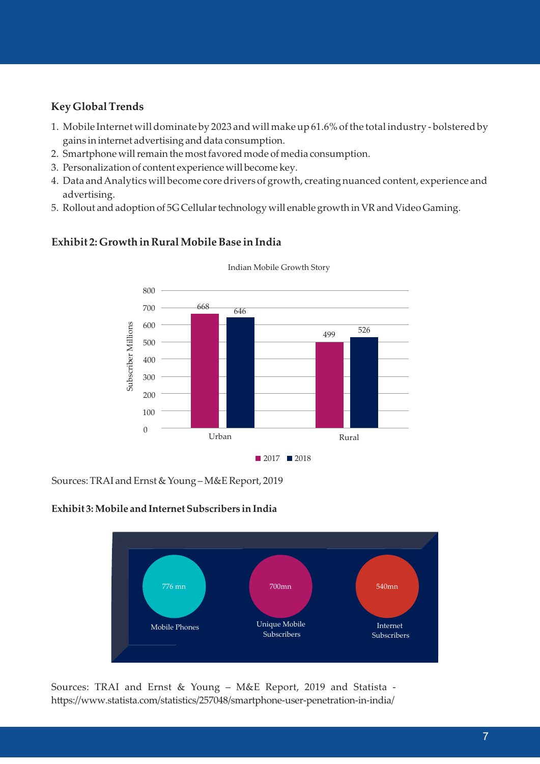### **Key Global Trends**

- 1. Mobile Internet will dominate by 2023 and will make up 61.6% of the total industry bolstered by gains in internet advertising and data consumption.
- 2. Smartphone will remain the most favored mode of media consumption.
- 3. Personalization of content experience will become key.
- 4. Data and Analytics will become core drivers of growth, creating nuanced content, experience and advertising.
- 5. Rollout and adoption of 5G Cellular technology will enable growth in VR and Video Gaming.



#### **Exhibit 2: Growth in Rural Mobile Base in India**

Sources: TRAI and Ernst & Young – M&E Report, 2019

#### **Exhibit 3: Mobile and Internet Subscribers in India**



Sources: TRAI and Ernst & Young – M&E Report, 2019 and Statista https://www.statista.com/statistics/257048/smartphone-user-penetration-in-india/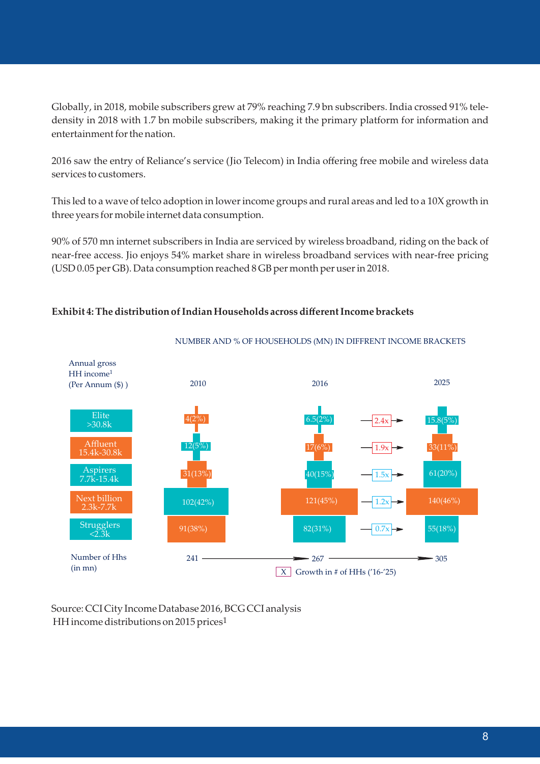Globally, in 2018, mobile subscribers grew at 79% reaching 7.9 bn subscribers. India crossed 91% teledensity in 2018 with 1.7 bn mobile subscribers, making it the primary platform for information and entertainment for the nation.

2016 saw the entry of Reliance's service (Jio Telecom) in India offering free mobile and wireless data services to customers.

This led to a wave of telco adoption in lower income groups and rural areas and led to a 10X growth in three years for mobile internet data consumption.

90% of 570 mn internet subscribers in India are serviced by wireless broadband, riding on the back of near-free access. Jio enjoys 54% market share in wireless broadband services with near-free pricing (USD 0.05 per GB). Data consumption reached 8 GB per month per user in 2018.



#### **Exhibit 4: The distribution of Indian Households across different Income brackets**

Source: CCI City Income Database 2016, BCG CCI analysis HH income distributions on 2015 prices<sup>1</sup>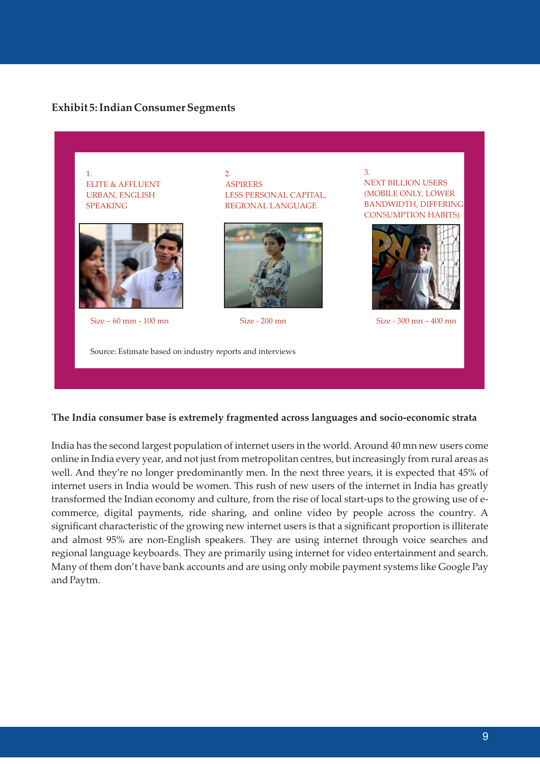#### **Exhibit 5: Indian Consumer Segments**



#### **The India consumer base is extremely fragmented across languages and socio-economic strata**

India has the second largest population of internet users in the world. Around 40 mn new users come online in India every year, and not just from metropolitan centres, but increasingly from rural areas as well. And they're no longer predominantly men. In the next three years, it is expected that 45% of internet users in India would be women. This rush of new users of the internet in India has greatly transformed the Indian economy and culture, from the rise of local start-ups to the growing use of ecommerce, digital payments, ride sharing, and online video by people across the country. A significant characteristic of the growing new internet users is that a significant proportion is illiterate and almost 95% are non-English speakers. They are using internet through voice searches and regional language keyboards. They are primarily using internet for video entertainment and search. Many of them don't have bank accounts and are using only mobile payment systems like Google Pay and Paytm.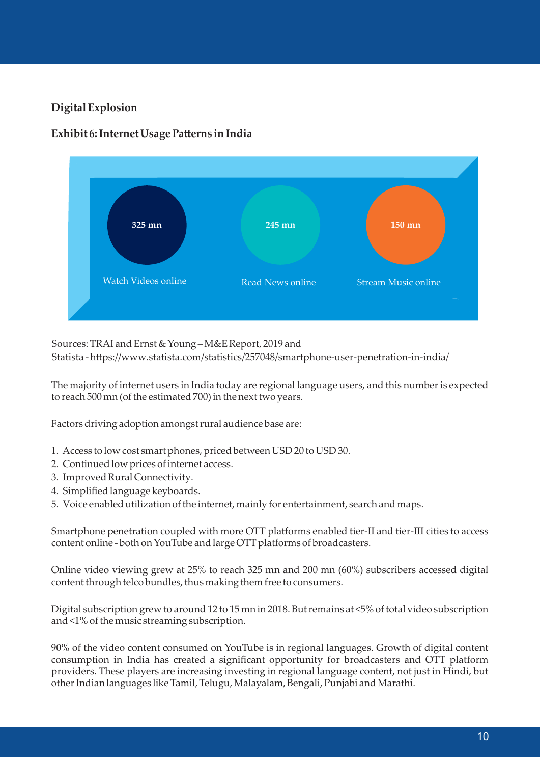### **Digital Explosion**



#### **Exhibit 6: Internet Usage Patterns in India**

#### Sources: TRAI and Ernst & Young – M&E Report, 2019 and

Statista - https://www.statista.com/statistics/257048/smartphone-user-penetration-in-india/

The majority of internet users in India today are regional language users, and this number is expected to reach 500 mn (of the estimated 700) in the next two years.

Factors driving adoption amongst rural audience base are:

- 1. Access to low cost smart phones, priced between USD 20 to USD 30.
- 2. Continued low prices of internet access.
- 3. Improved Rural Connectivity.
- 4. Simplified language keyboards.
- 5. Voice enabled utilization of the internet, mainly for entertainment, search and maps.

Smartphone penetration coupled with more OTT platforms enabled tier-II and tier-III cities to access content online - both on YouTube and large OTT platforms of broadcasters.

Online video viewing grew at 25% to reach 325 mn and 200 mn (60%) subscribers accessed digital content through telco bundles, thus making them free to consumers.

Digital subscription grew to around 12 to 15 mn in 2018. But remains at <5% of total video subscription and <1% of the music streaming subscription.

90% of the video content consumed on YouTube is in regional languages. Growth of digital content consumption in India has created a significant opportunity for broadcasters and OTT platform providers. These players are increasing investing in regional language content, not just in Hindi, but other Indian languages like Tamil, Telugu, Malayalam, Bengali, Punjabi and Marathi.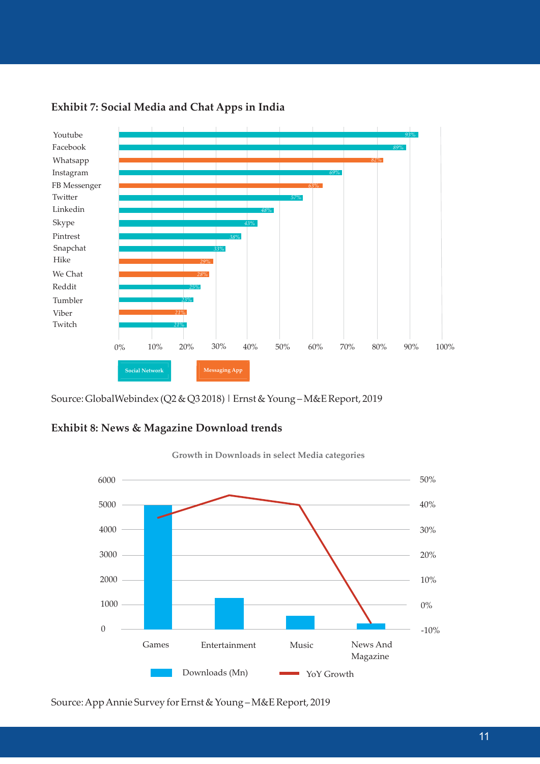

#### **Exhibit 7: Social Media and Chat Apps in India**

Source: GlobalWebindex (Q2 & Q3 2018) | Ernst & Young – M&E Report, 2019

#### **Exhibit 8: News & Magazine Download trends**



**Growth in Downloads in select Media categories**

Source: App Annie Survey for Ernst & Young – M&E Report, 2019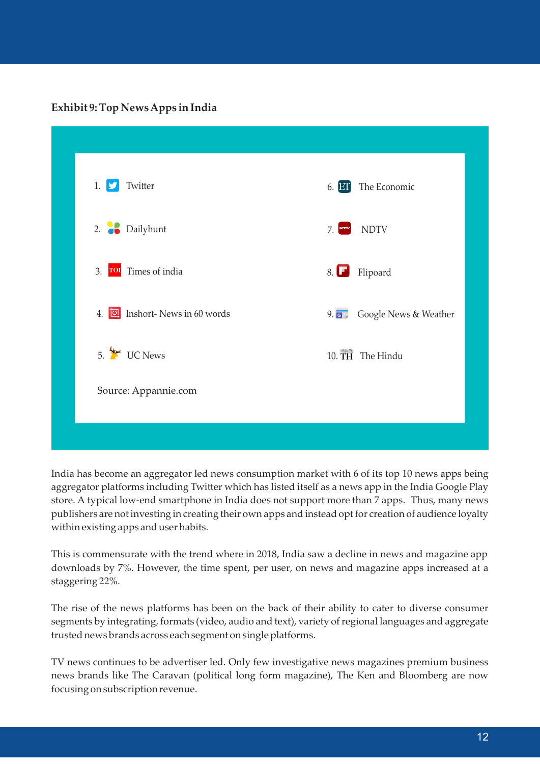**Exhibit 9: Top News Apps in India**

| Twitter<br>1.<br>D                   | The Economic<br>6. ET           |
|--------------------------------------|---------------------------------|
| 2. Dailyhunt                         | <b>NDTV</b><br>7.               |
| 3. Tol Times of india                | Flipoard<br>8. L                |
| 4. <b>I</b> Inshort-News in 60 words | 9.67<br>Google News & Weather   |
| $5.$ We UC News                      | $10.\overline{TH}$<br>The Hindu |
| Source: Appannie.com                 |                                 |
|                                      |                                 |

India has become an aggregator led news consumption market with 6 of its top 10 news apps being aggregator platforms including Twitter which has listed itself as a news app in the India Google Play store. A typical low-end smartphone in India does not support more than 7 apps. Thus, many news publishers are not investing in creating their own apps and instead opt for creation of audience loyalty within existing apps and user habits.

This is commensurate with the trend where in 2018, India saw a decline in news and magazine app downloads by 7%. However, the time spent, per user, on news and magazine apps increased at a staggering 22%.

The rise of the news platforms has been on the back of their ability to cater to diverse consumer segments by integrating, formats (video, audio and text), variety of regional languages and aggregate trusted news brands across each segment on single platforms.

TV news continues to be advertiser led. Only few investigative news magazines premium business news brands like The Caravan (political long form magazine), The Ken and Bloomberg are now focusing on subscription revenue.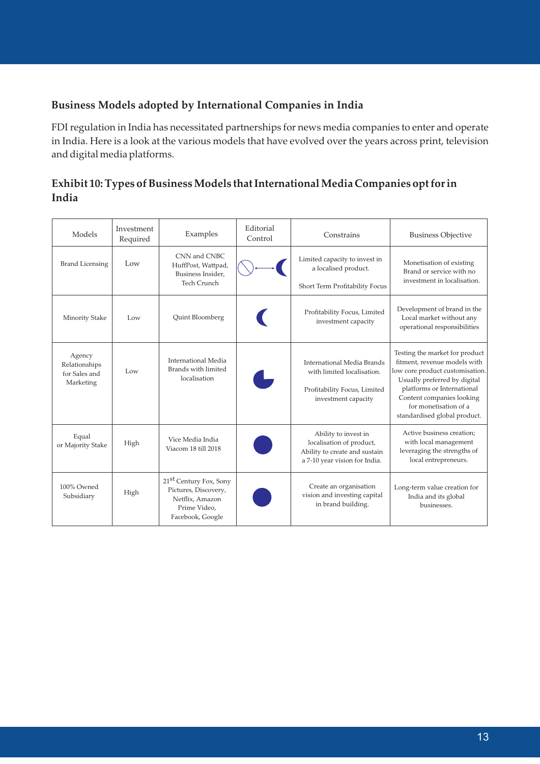#### **Business Models adopted by International Companies in India**

FDI regulation in India has necessitated partnerships for news media companies to enter and operate in India. Here is a look at the various models that have evolved over the years across print, television and digital media platforms.

### **Exhibit 10: Types of Business Models that International Media Companies opt for in India**

| Models                                                | Investment<br>Required | Examples                                                                                                          | Editorial<br>Control | Constrains                                                                                                         | <b>Business Objective</b>                                                                                                                                                                                                                             |
|-------------------------------------------------------|------------------------|-------------------------------------------------------------------------------------------------------------------|----------------------|--------------------------------------------------------------------------------------------------------------------|-------------------------------------------------------------------------------------------------------------------------------------------------------------------------------------------------------------------------------------------------------|
| <b>Brand Licensing</b>                                | Low                    | CNN and CNBC<br>HuffPost, Wattpad,<br>Business Insider,<br>Tech Crunch                                            |                      | Limited capacity to invest in<br>a localised product.<br>Short Term Profitability Focus                            | Monetisation of existing<br>Brand or service with no<br>investment in localisation.                                                                                                                                                                   |
| Minority Stake                                        | Low                    | Quint Bloomberg                                                                                                   |                      | Profitability Focus, Limited<br>investment capacity                                                                | Development of brand in the<br>Local market without any<br>operational responsibilities                                                                                                                                                               |
| Agency<br>Relationships<br>for Sales and<br>Marketing | Low                    | International Media<br>Brands with limited<br>localisation                                                        |                      | International Media Brands<br>with limited localisation.<br>Profitability Focus, Limited<br>investment capacity    | Testing the market for product<br>fitment, revenue models with<br>low core product customisation.<br>Usually preferred by digital<br>platforms or International<br>Content companies looking<br>for monetisation of a<br>standardised global product. |
| Equal<br>or Majority Stake                            | High                   | Vice Media India<br>Viacom 18 till 2018                                                                           |                      | Ability to invest in<br>localisation of product,<br>Ability to create and sustain<br>a 7-10 year vision for India. | Active business creation;<br>with local management<br>leveraging the strengths of<br>local entrepreneurs.                                                                                                                                             |
| 100% Owned<br>Subsidiary                              | High                   | 21 <sup>st</sup> Century Fox, Sony<br>Pictures, Discovery,<br>Netflix, Amazon<br>Prime Video.<br>Facebook, Google |                      | Create an organisation<br>vision and investing capital<br>in brand building.                                       | Long-term value creation for<br>India and its global<br>businesses.                                                                                                                                                                                   |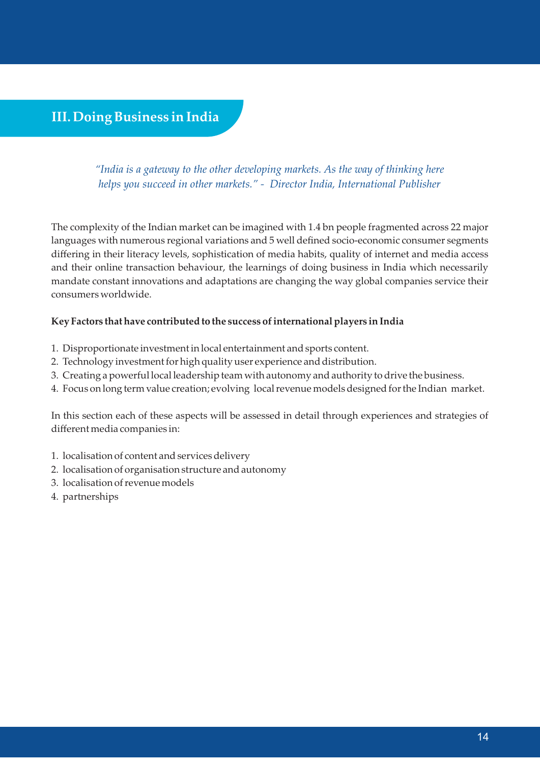# **III. Doing Business in India**

*"India is a gateway to the other developing markets. As the way of thinking here helps you succeed in other markets." - Director India, International Publisher*

The complexity of the Indian market can be imagined with 1.4 bn people fragmented across 22 major languages with numerous regional variations and 5 well defined socio-economic consumer segments differing in their literacy levels, sophistication of media habits, quality of internet and media access and their online transaction behaviour, the learnings of doing business in India which necessarily mandate constant innovations and adaptations are changing the way global companies service their consumers worldwide.

#### **Key Factors that have contributed to the success of international players in India**

- 1. Disproportionate investment in local entertainment and sports content.
- 2. Technology investment for high quality user experience and distribution.
- 3. Creating a powerful local leadership team with autonomy and authority to drive the business.
- 4. Focus on long term value creation; evolving local revenue models designed for the Indian market.

In this section each of these aspects will be assessed in detail through experiences and strategies of different media companies in:

- 1. localisation of content and services delivery
- 2. localisation of organisation structure and autonomy
- 3. localisation of revenue models
- 4. partnerships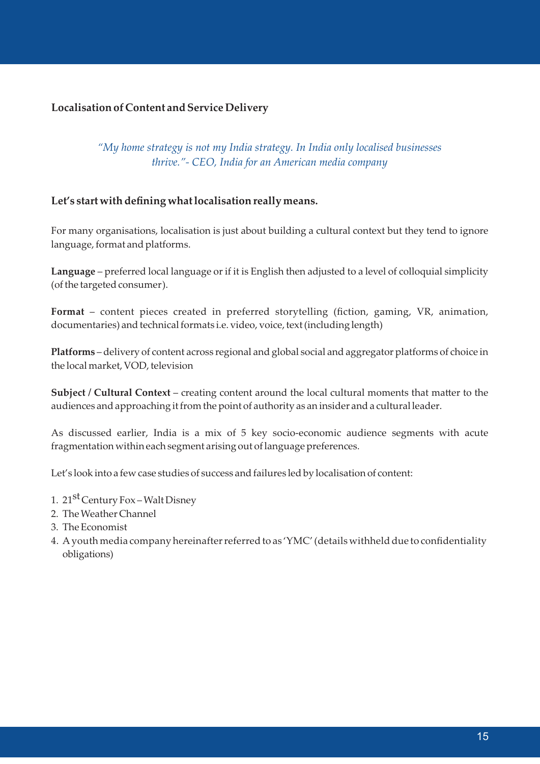#### **Localisation of Content and Service Delivery**

#### *"My home strategy is not my India strategy. In India only localised businesses thrive."- CEO, India for an American media company*

#### **Let's start with defining what localisation really means.**

For many organisations, localisation is just about building a cultural context but they tend to ignore language, format and platforms.

**Language** – preferred local language or if it is English then adjusted to a level of colloquial simplicity (of the targeted consumer).

**Format** – content pieces created in preferred storytelling (fiction, gaming, VR, animation, documentaries) and technical formats i.e. video, voice, text (including length)

**Platforms** – delivery of content across regional and global social and aggregator platforms of choice in the local market, VOD, television

**Subject / Cultural Context** – creating content around the local cultural moments that matter to the audiences and approaching it from the point of authority as an insider and a cultural leader.

As discussed earlier, India is a mix of 5 key socio-economic audience segments with acute fragmentation within each segment arising out of language preferences.

Let's look into a few case studies of success and failures led by localisation of content:

- 1. 21<sup>st</sup> Century Fox Walt Disney
- 2. The Weather Channel
- 3. The Economist
- 4. A youth media company hereinafter referred to as 'YMC' (details withheld due to confidentiality obligations)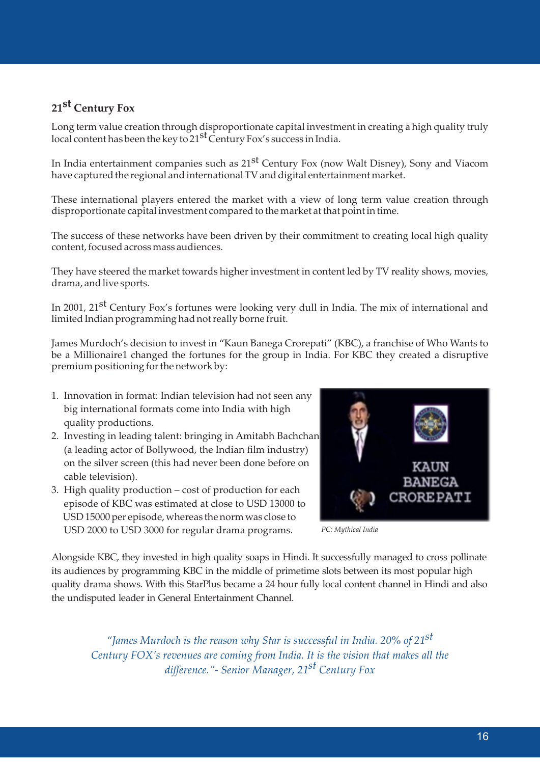# 21<sup>st</sup> Century Fox

Long term value creation through disproportionate capital investment in creating a high quality truly local content has been the key to  $21<sup>st</sup>$  Century Fox's success in India.

In India entertainment companies such as  $21<sup>st</sup>$  Century Fox (now Walt Disney), Sony and Viacom have captured the regional and international TV and digital entertainment market.

These international players entered the market with a view of long term value creation through disproportionate capital investment compared to the market at that point in time.

The success of these networks have been driven by their commitment to creating local high quality content, focused across mass audiences.

They have steered the market towards higher investment in content led by TV reality shows, movies, drama, and live sports.

In 2001, 21<sup>st</sup> Century Fox's fortunes were looking very dull in India. The mix of international and limited Indian programming had not really borne fruit.

James Murdoch's decision to invest in "Kaun Banega Crorepati" (KBC), a franchise of Who Wants to be a Millionaire1 changed the fortunes for the group in India. For KBC they created a disruptive premium positioning for the network by:

- 1. Innovation in format: Indian television had not seen any big international formats come into India with high quality productions.
- 2. Investing in leading talent: bringing in Amitabh Bachchan (a leading actor of Bollywood, the Indian film industry) on the silver screen (this had never been done before on cable television).
- 3. High quality production cost of production for each episode of KBC was estimated at close to USD 13000 to USD 15000 per episode, whereas the norm was close to USD 2000 to USD 3000 for regular drama programs.



 *PC: Mythical India*

Alongside KBC, they invested in high quality soaps in Hindi. It successfully managed to cross pollinate its audiences by programming KBC in the middle of primetime slots between its most popular high quality drama shows. With this StarPlus became a 24 hour fully local content channel in Hindi and also the undisputed leader in General Entertainment Channel.

*st "James Murdoch is the reason why Star is successful in India. 20% of 21 Century FOX's revenues are coming from India. It is the vision that makes all the st difference."- Senior Manager, 21 Century Fox*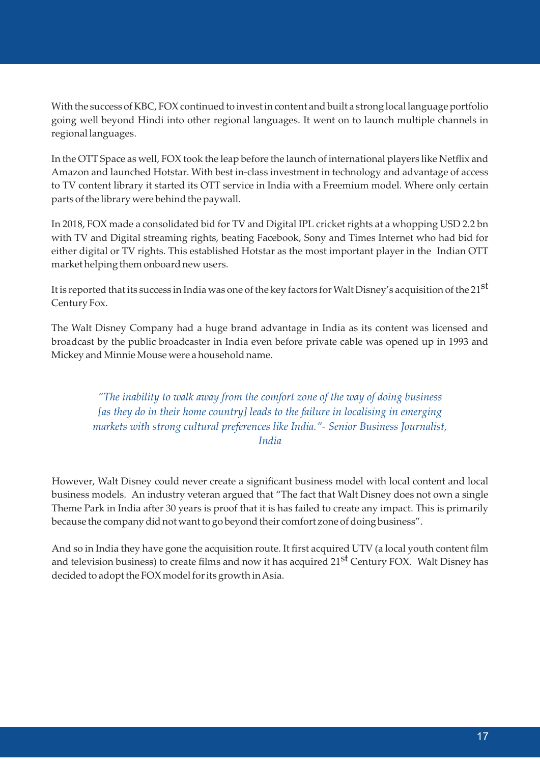With the success of KBC, FOX continued to invest in content and built a strong local language portfolio going well beyond Hindi into other regional languages. It went on to launch multiple channels in regional languages.

In the OTT Space as well, FOX took the leap before the launch of international players like Netflix and Amazon and launched Hotstar. With best in-class investment in technology and advantage of access to TV content library it started its OTT service in India with a Freemium model. Where only certain parts of the library were behind the paywall.

In 2018, FOX made a consolidated bid for TV and Digital IPL cricket rights at a whopping USD 2.2 bn with TV and Digital streaming rights, beating Facebook, Sony and Times Internet who had bid for either digital or TV rights. This established Hotstar as the most important player in the Indian OTT market helping them onboard new users.

It is reported that its success in India was one of the key factors for Walt Disney's acquisition of the 21<sup>st</sup> Century Fox.

The Walt Disney Company had a huge brand advantage in India as its content was licensed and broadcast by the public broadcaster in India even before private cable was opened up in 1993 and Mickey and Minnie Mouse were a household name.

*"The inability to walk away from the comfort zone of the way of doing business [as they do in their home country] leads to the failure in localising in emerging markets with strong cultural preferences like India."- Senior Business Journalist, India*

However, Walt Disney could never create a significant business model with local content and local business models. An industry veteran argued that "The fact that Walt Disney does not own a single Theme Park in India after 30 years is proof that it is has failed to create any impact. This is primarily because the company did not want to go beyond their comfort zone of doing business".

And so in India they have gone the acquisition route. It first acquired UTV (a local youth content film and television business) to create films and now it has acquired 21<sup>st</sup> Century FOX. Walt Disney has decided to adopt the FOX model for its growth in Asia.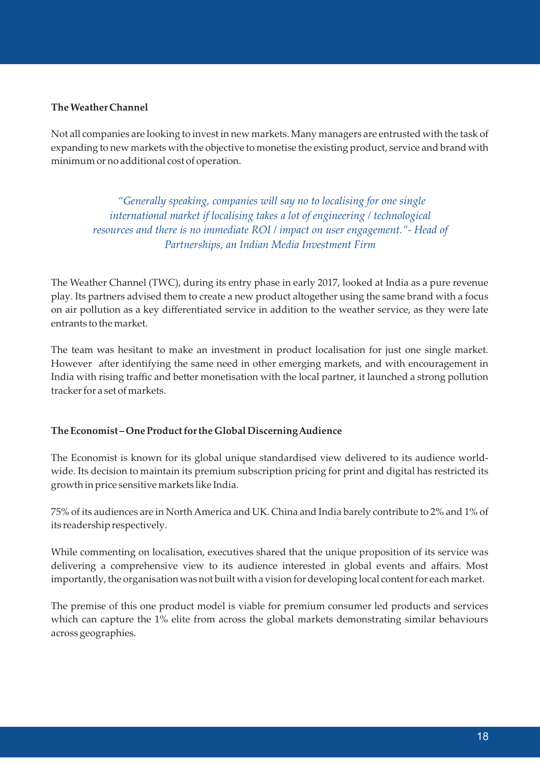#### **The Weather Channel**

Not all companies are looking to invest in new markets. Many managers are entrusted with the task of expanding to new markets with the objective to monetise the existing product, service and brand with minimum or no additional cost of operation.

 *"Generally speaking, companies will say no to localising for one single international market if localising takes a lot of engineering / technological resources and there is no immediate ROI / impact on user engagement."- Head of Partnerships, an Indian Media Investment Firm*

The Weather Channel (TWC), during its entry phase in early 2017, looked at India as a pure revenue play. Its partners advised them to create a new product altogether using the same brand with a focus on air pollution as a key differentiated service in addition to the weather service, as they were late entrants to the market.

The team was hesitant to make an investment in product localisation for just one single market. However after identifying the same need in other emerging markets, and with encouragement in India with rising traffic and better monetisation with the local partner, it launched a strong pollution tracker for a set of markets.

#### **The Economist – One Product for the Global Discerning Audience**

The Economist is known for its global unique standardised view delivered to its audience worldwide. Its decision to maintain its premium subscription pricing for print and digital has restricted its growth in price sensitive markets like India.

75% of its audiences are in North America and UK. China and India barely contribute to 2% and 1% of its readership respectively.

While commenting on localisation, executives shared that the unique proposition of its service was delivering a comprehensive view to its audience interested in global events and affairs. Most importantly, the organisation was not built with a vision for developing local content for each market.

The premise of this one product model is viable for premium consumer led products and services which can capture the 1% elite from across the global markets demonstrating similar behaviours across geographies.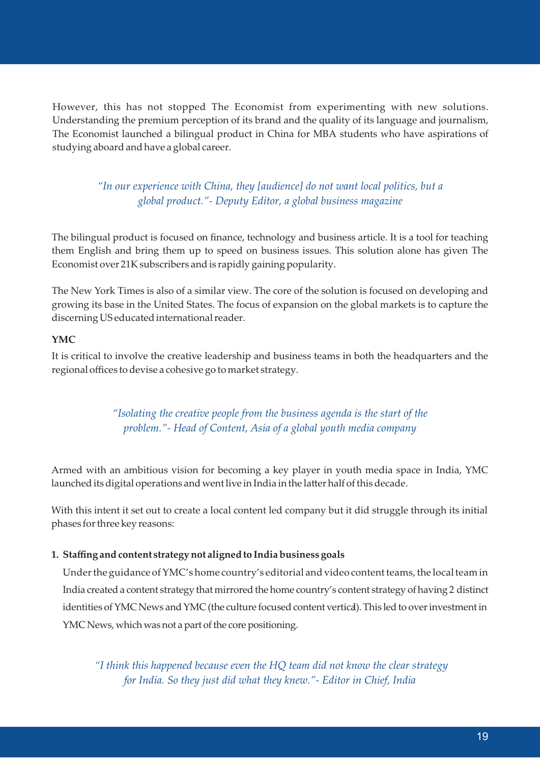However, this has not stopped The Economist from experimenting with new solutions. Understanding the premium perception of its brand and the quality of its language and journalism, The Economist launched a bilingual product in China for MBA students who have aspirations of studying aboard and have a global career.

### *"In our experience with China, they [audience] do not want local politics, but a global product."- Deputy Editor, a global business magazine*

The bilingual product is focused on finance, technology and business article. It is a tool for teaching them English and bring them up to speed on business issues. This solution alone has given The Economist over 21K subscribers and is rapidly gaining popularity.

The New York Times is also of a similar view. The core of the solution is focused on developing and growing its base in the United States. The focus of expansion on the global markets is to capture the discerning US educated international reader.

#### **YMC**

It is critical to involve the creative leadership and business teams in both the headquarters and the regional offices to devise a cohesive go to market strategy.

> *"Isolating the creative people from the business agenda is the start of the problem."- Head of Content, Asia of a global youth media company*

Armed with an ambitious vision for becoming a key player in youth media space in India, YMC launched its digital operations and went live in India in the latter half of this decade.

With this intent it set out to create a local content led company but it did struggle through its initial phases for three key reasons:

#### **1. Staffing and content strategy not aligned to India business goals**

 Under the guidance of YMC's home country's editorial and video content teams, the local team in India created a content strategy that mirrored the home country's content strategy of having 2 distinct identities of YMC News and YMC (the culture focused content vertical). This led to over investment in YMC News, which was not a part of the core positioning.

 *"I think this happened because even the HQ team did not know the clear strategy for India. So they just did what they knew."- Editor in Chief, India*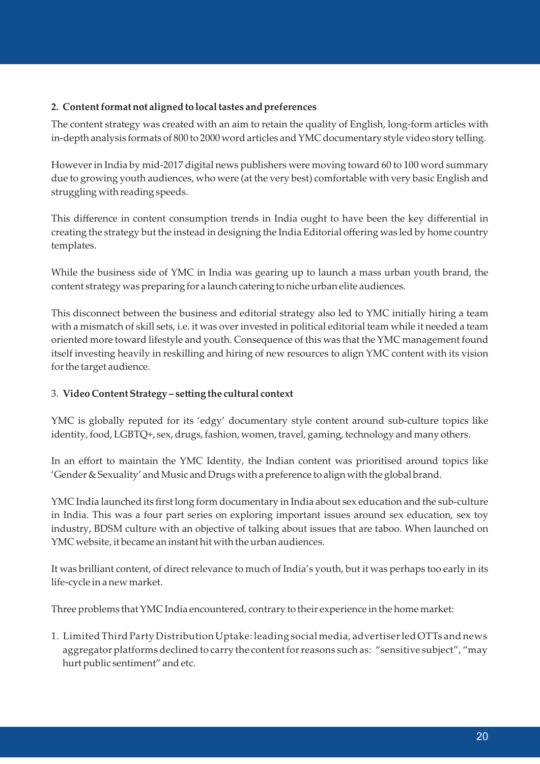#### **2. Content format not aligned to local tastes and preferences**

The content strategy was created with an aim to retain the quality of English, long-form articles with in-depth analysis formats of 800 to 2000 word articles and YMC documentary style video story telling.

However in India by mid-2017 digital news publishers were moving toward 60 to 100 word summary due to growing youth audiences, who were (at the very best) comfortable with very basic English and struggling with reading speeds.

This difference in content consumption trends in India ought to have been the key differential in creating the strategy but the instead in designing the India Editorial offering was led by home country templates.

While the business side of YMC in India was gearing up to launch a mass urban youth brand, the content strategy was preparing for a launch catering to niche urban elite audiences.

This disconnect between the business and editorial strategy also led to YMC initially hiring a team with a mismatch of skill sets, i.e. it was over invested in political editorial team while it needed a team oriented more toward lifestyle and youth. Consequence of this was that the YMC management found itself investing heavily in reskilling and hiring of new resources to align YMC content with its vision for the target audience.

#### 3. **Video Content Strategy – seing the cultural context**

YMC is globally reputed for its 'edgy' documentary style content around sub-culture topics like identity, food, LGBTQ+, sex, drugs, fashion, women, travel, gaming, technology and many others.

In an effort to maintain the YMC Identity, the Indian content was prioritised around topics like 'Gender & Sexuality' and Music and Drugs with a preference to align with the global brand.

YMC India launched its first long form documentary in India about sex education and the sub-culture in India. This was a four part series on exploring important issues around sex education, sex toy industry, BDSM culture with an objective of talking about issues that are taboo. When launched on YMC website, it became an instant hit with the urban audiences.

It was brilliant content, of direct relevance to much of India's youth, but it was perhaps too early in its life-cycle in a new market.

Three problems that YMC India encountered, contrary to their experience in the home market:

1. Limited Third Party Distribution Uptake: leading social media, advertiser led OTTs and news aggregator platforms declined to carry the content for reasons such as: "sensitive subject", "may hurt public sentiment" and etc.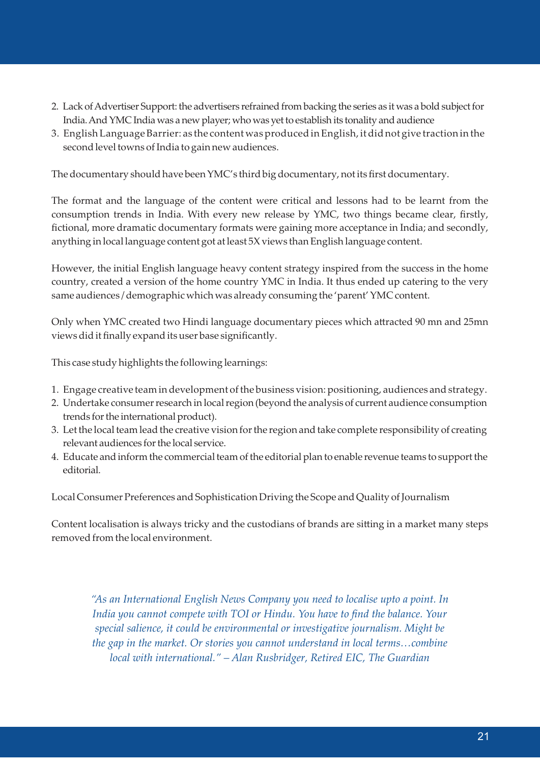- 2. Lack of Advertiser Support: the advertisers refrained from backing the series as it was a bold subject for India. And YMC India was a new player; who was yet to establish its tonality and audience
- 3. English Language Barrier: as the content was produced in English, it did not give traction in the second level towns of India to gain new audiences.

The documentary should have been YMC's third big documentary, not its first documentary.

The format and the language of the content were critical and lessons had to be learnt from the consumption trends in India. With every new release by YMC, two things became clear, firstly, fictional, more dramatic documentary formats were gaining more acceptance in India; and secondly, anything in local language content got at least 5X views than English language content.

However, the initial English language heavy content strategy inspired from the success in the home country, created a version of the home country YMC in India. It thus ended up catering to the very same audiences / demographic which was already consuming the 'parent' YMC content.

Only when YMC created two Hindi language documentary pieces which attracted 90 mn and 25mn views did it finally expand its user base significantly.

This case study highlights the following learnings:

- 1. Engage creative team in development of the business vision: positioning, audiences and strategy.
- 2. Undertake consumer research in local region (beyond the analysis of current audience consumption trends for the international product).
- 3. Let the local team lead the creative vision for the region and take complete responsibility of creating relevant audiences for the local service.
- 4. Educate and inform the commercial team of the editorial plan to enable revenue teams to support the editorial.

Local Consumer Preferences and Sophistication Driving the Scope and Quality of Journalism

Content localisation is always tricky and the custodians of brands are sitting in a market many steps removed from the local environment.

*"As an International English News Company you need to localise upto a point. In India you cannot compete with TOI or Hindu. You have to find the balance. Your special salience, it could be environmental or investigative journalism. Might be the gap in the market. Or stories you cannot understand in local terms…combine local with international." – Alan Rusbridger, Retired EIC, The Guardian*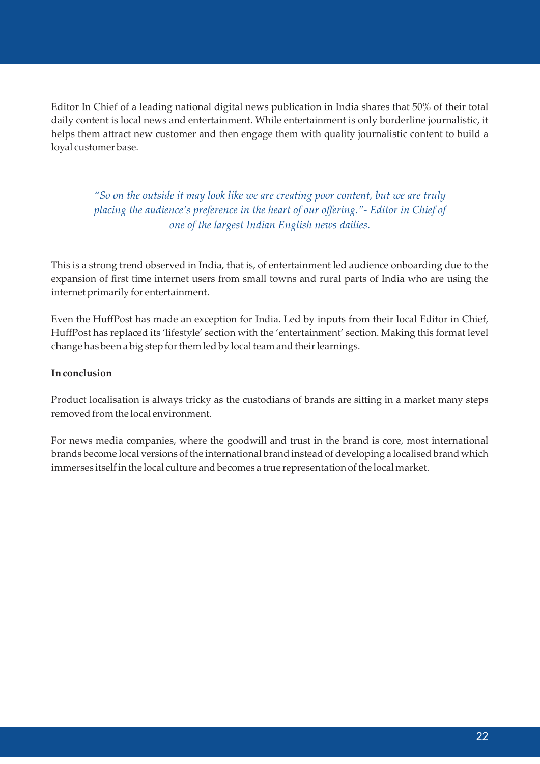Editor In Chief of a leading national digital news publication in India shares that 50% of their total daily content is local news and entertainment. While entertainment is only borderline journalistic, it helps them attract new customer and then engage them with quality journalistic content to build a loyal customer base.

*"So on the outside it may look like we are creating poor content, but we are truly placing the audience's preference in the heart of our offering."- Editor in Chief of one of the largest Indian English news dailies.* 

This is a strong trend observed in India, that is, of entertainment led audience onboarding due to the expansion of first time internet users from small towns and rural parts of India who are using the internet primarily for entertainment.

Even the HuffPost has made an exception for India. Led by inputs from their local Editor in Chief, HuffPost has replaced its 'lifestyle' section with the 'entertainment' section. Making this format level change has been a big step for them led by local team and their learnings.

#### **In conclusion**

Product localisation is always tricky as the custodians of brands are sitting in a market many steps removed from the local environment.

For news media companies, where the goodwill and trust in the brand is core, most international brands become local versions of the international brand instead of developing a localised brand which immerses itself in the local culture and becomes a true representation of the local market.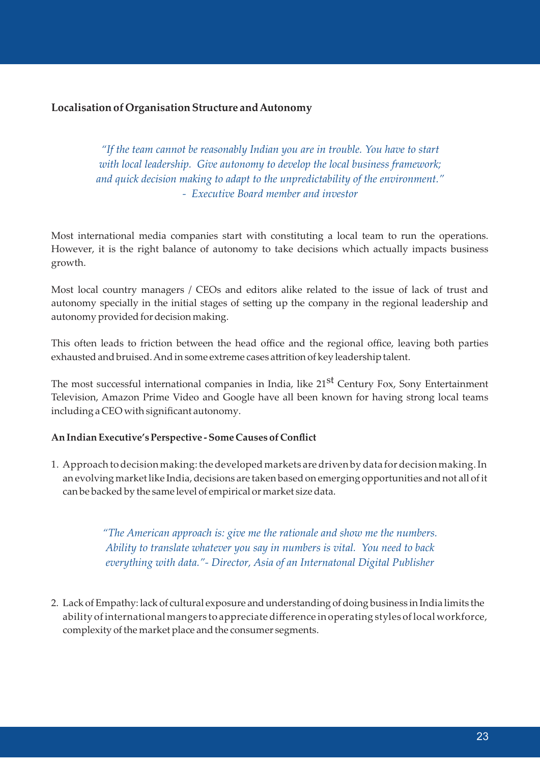#### **Localisation of Organisation Structure and Autonomy**

*"If the team cannot be reasonably Indian you are in trouble. You have to start with local leadership. Give autonomy to develop the local business framework; and quick decision making to adapt to the unpredictability of the environment." - Executive Board member and investor*

Most international media companies start with constituting a local team to run the operations. However, it is the right balance of autonomy to take decisions which actually impacts business growth.

Most local country managers / CEOs and editors alike related to the issue of lack of trust and autonomy specially in the initial stages of setting up the company in the regional leadership and autonomy provided for decision making.

This often leads to friction between the head office and the regional office, leaving both parties exhausted and bruised. And in some extreme cases attrition of key leadership talent.

The most successful international companies in India, like 21<sup>st</sup> Century Fox, Sony Entertainment Television, Amazon Prime Video and Google have all been known for having strong local teams including a CEO with significant autonomy.

#### **An Indian Executive's Perspective - Some Causes of Conflict**

1. Approach to decision making: the developed markets are driven by data for decision making. In an evolving market like India, decisions are taken based on emerging opportunities and not all of it can be backed by the same level of empirical or market size data.

> *"The American approach is: give me the rationale and show me the numbers. Ability to translate whatever you say in numbers is vital. You need to back everything with data."- Director, Asia of an Internatonal Digital Publisher*

2. Lack of Empathy: lack of cultural exposure and understanding of doing business in India limits the ability of international mangers to appreciate difference in operating styles of local workforce, complexity of the market place and the consumer segments.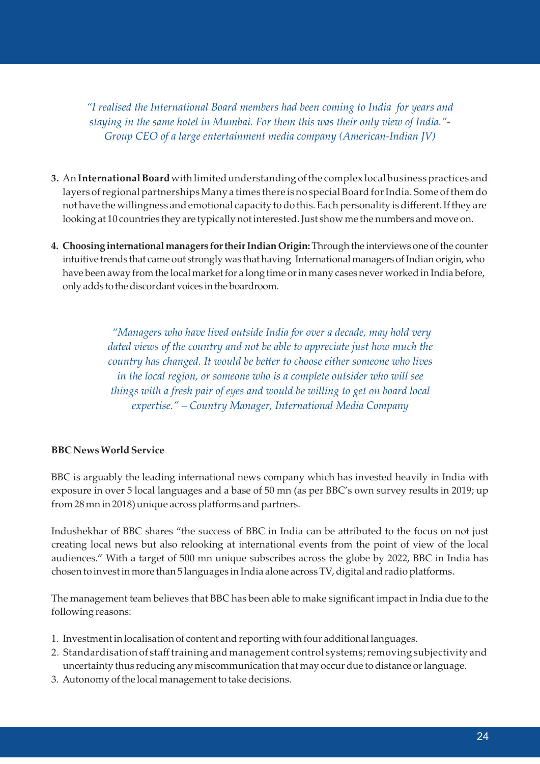*"I realised the International Board members had been coming to India for years and staying in the same hotel in Mumbai. For them this was their only view of India."- Group CEO of a large entertainment media company (American-Indian JV)* 

- **3.** An **International Board** with limited understanding of the complex local business practices and layers of regional partnerships Many a times there is no special Board for India. Some of them do not have the willingness and emotional capacity to do this. Each personality is different. If they are looking at 10 countries they are typically not interested. Just show me the numbers and move on.
- **4. Choosing international managers for their Indian Origin:** Through the interviews one of the counter intuitive trends that came out strongly was that having International managers of Indian origin, who have been away from the local market for a long time or in many cases never worked in India before, only adds tothe discordant voices in the boardroom.

 *"Managers who have lived outside India for over a decade, may hold very*  dated views of the country and not be able to appreciate just how much the *country has changed. It would be better to choose either someone who lives in the local region, or someone who is a complete outsider who will see things with a fresh pair of eyes and would be willing to get on board local expertise." – Country Manager, International Media Company*

#### **BBC News World Service**

BBC is arguably the leading international news company which has invested heavily in India with exposure in over 5 local languages and a base of 50 mn (as per BBC's own survey results in 2019; up from 28 mn in 2018) unique across platforms and partners.

Indushekhar of BBC shares "the success of BBC in India can be attributed to the focus on not just creating local news but also relooking at international events from the point of view of the local audiences." With a target of 500 mn unique subscribes across the globe by 2022, BBC in India has chosen to invest in more than 5 languages in India alone across TV, digital and radio platforms.

The management team believes that BBC has been able to make significant impact in India due to the following reasons:

- 1. Investment in localisation of content and reporting with four additional languages.
- 2. Standardisation of staff training and management control systems; removing subjectivity and uncertainty thus reducing any miscommunication that may occur due to distance or language.
- 3. Autonomy of the local management to take decisions.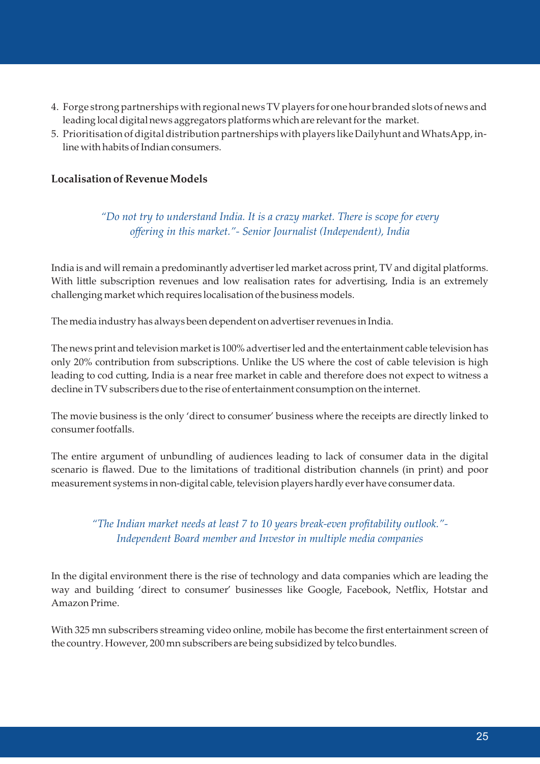- 4. Forge strong partnerships with regional news TV players for one hour branded slots of news and leading local digital news aggregators platforms which are relevant for the market.
- 5. Prioritisation of digital distribution partnerships with players like Dailyhunt and WhatsApp, in line with habits of Indian consumers.

#### **Localisation of Revenue Models**

*"Do not try to understand India. It is a crazy market. There is scope for every offering in this market."- Senior Journalist (Independent), India*

India is and will remain a predominantly advertiser led market across print, TV and digital platforms. With little subscription revenues and low realisation rates for advertising, India is an extremely challenging market which requires localisation of the business models.

The media industry has always been dependent on advertiser revenues in India.

The news print and television market is 100% advertiser led and the entertainment cable television has only 20% contribution from subscriptions. Unlike the US where the cost of cable television is high leading to cod cutting, India is a near free market in cable and therefore does not expect to witness a decline in TV subscribers due to the rise of entertainment consumption on the internet.

The movie business is the only 'direct to consumer' business where the receipts are directly linked to consumer footfalls.

The entire argument of unbundling of audiences leading to lack of consumer data in the digital scenario is flawed. Due to the limitations of traditional distribution channels (in print) and poor measurement systems in non-digital cable, television players hardly ever have consumer data.

*"The Indian market needs at least 7 to 10 years break-even profitability outlook."- Independent Board member and Investor in multiple media companies* 

In the digital environment there is the rise of technology and data companies which are leading the way and building 'direct to consumer' businesses like Google, Facebook, Netflix, Hotstar and Amazon Prime.

With 325 mn subscribers streaming video online, mobile has become the first entertainment screen of the country. However, 200 mn subscribers are being subsidized by telco bundles.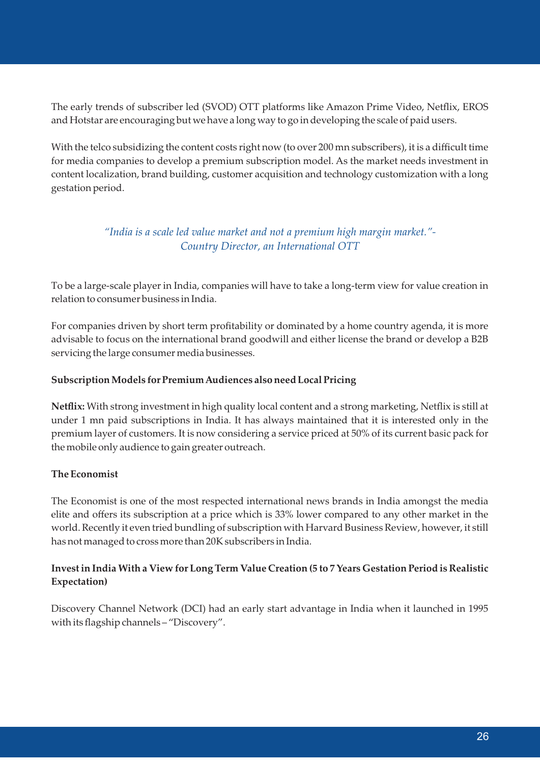The early trends of subscriber led (SVOD) OTT platforms like Amazon Prime Video, Netflix, EROS and Hotstar are encouraging but we have a long way to go in developing the scale of paid users.

With the telco subsidizing the content costs right now (to over 200 mn subscribers), it is a difficult time for media companies to develop a premium subscription model. As the market needs investment in content localization, brand building, customer acquisition and technology customization with a long gestation period.

## *"India is a scale led value market and not a premium high margin market."- Country Director, an International OTT*

To be a large-scale player in India, companies will have to take a long-term view for value creation in relation to consumer business in India.

For companies driven by short term profitability or dominated by a home country agenda, it is more advisable to focus on the international brand goodwill and either license the brand or develop a B2B servicing the large consumer media businesses.

#### **Subscription Models for Premium Audiences also need Local Pricing**

**Netflix:** With strong investment in high quality local content and a strong marketing, Netflix is still at under 1 mn paid subscriptions in India. It has always maintained that it is interested only in the premium layer of customers. It is now considering a service priced at 50% of its current basic pack for the mobile only audience to gain greater outreach.

#### **The Economist**

The Economist is one of the most respected international news brands in India amongst the media elite and offers its subscription at a price which is 33% lower compared to any other market in the world. Recently it even tried bundling of subscription with Harvard Business Review, however, it still has not managed to cross more than 20K subscribers in India.

#### **Invest in India With a View for Long Term Value Creation (5 to 7 Years Gestation Period is Realistic Expectation)**

Discovery Channel Network (DCI) had an early start advantage in India when it launched in 1995 with its flagship channels – "Discovery".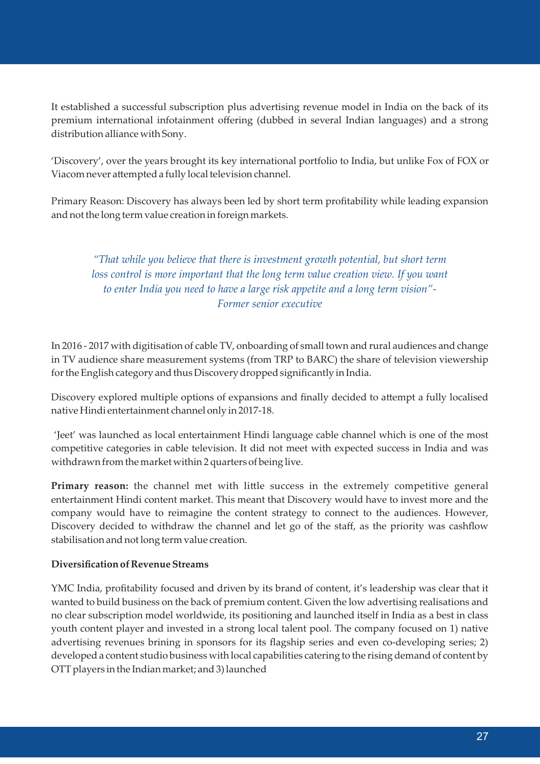It established a successful subscription plus advertising revenue model in India on the back of its premium international infotainment offering (dubbed in several Indian languages) and a strong distribution alliance with Sony.

'Discovery', over the years brought its key international portfolio to India, but unlike Fox of FOX or Viacom never attempted a fully local television channel.

Primary Reason: Discovery has always been led by short term profitability while leading expansion and not the long term value creation in foreign markets.

### *"That while you believe that there is investment growth potential, but short term*  loss control is more important that the long term value creation view. If you want *to enter India you need to have a large risk appetite and a long term vision"- Former senior executive*

In 2016 - 2017 with digitisation of cable TV, onboarding of small town and rural audiences and change in TV audience share measurement systems (from TRP to BARC) the share of television viewership for the English category and thus Discovery dropped significantly in India.

Discovery explored multiple options of expansions and finally decided to attempt a fully localised native Hindi entertainment channel only in 2017-18.

'Jeet' was launched as local entertainment Hindi language cable channel which is one of the most competitive categories in cable television. It did not meet with expected success in India and was withdrawn from the market within 2 quarters of being live.

**Primary reason:** the channel met with little success in the extremely competitive general entertainment Hindi content market. This meant that Discovery would have to invest more and the company would have to reimagine the content strategy to connect to the audiences. However, Discovery decided to withdraw the channel and let go of the staff, as the priority was cashflow stabilisation and not long term value creation.

#### **Diversification of Revenue Streams**

YMC India, profitability focused and driven by its brand of content, it's leadership was clear that it wanted to build business on the back of premium content. Given the low advertising realisations and no clear subscription model worldwide, its positioning and launched itself in India as a best in class youth content player and invested in a strong local talent pool. The company focused on 1) native advertising revenues brining in sponsors for its flagship series and even co-developing series; 2) developed a content studio business with local capabilities catering to the rising demand of content by OTT players in the Indian market; and 3) launched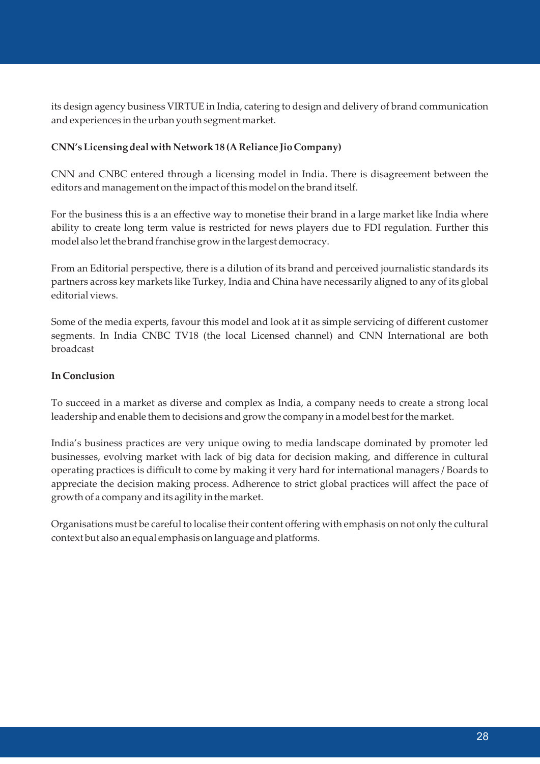its design agency business VIRTUE in India, catering to design and delivery of brand communication and experiences in the urban youth segment market.

#### **CNN's Licensing deal with Network 18 (A Reliance Jio Company)**

CNN and CNBC entered through a licensing model in India. There is disagreement between the editors and management on the impact of this model on the brand itself.

For the business this is a an effective way to monetise their brand in a large market like India where ability to create long term value is restricted for news players due to FDI regulation. Further this model also let the brand franchise grow in the largest democracy.

From an Editorial perspective, there is a dilution of its brand and perceived journalistic standards its partners across key markets like Turkey, India and China have necessarily aligned to any of its global editorial views.

Some of the media experts, favour this model and look at it as simple servicing of different customer segments. In India CNBC TV18 (the local Licensed channel) and CNN International are both broadcast

#### **In Conclusion**

To succeed in a market as diverse and complex as India, a company needs to create a strong local leadership and enable them to decisions and grow the company in a model best for the market.

India's business practices are very unique owing to media landscape dominated by promoter led businesses, evolving market with lack of big data for decision making, and difference in cultural operating practices is difficult to come by making it very hard for international managers / Boards to appreciate the decision making process. Adherence to strict global practices will affect the pace of growth of a company and its agility in the market.

Organisations must be careful to localise their content offering with emphasis on not only the cultural context but also an equal emphasis on language and platforms.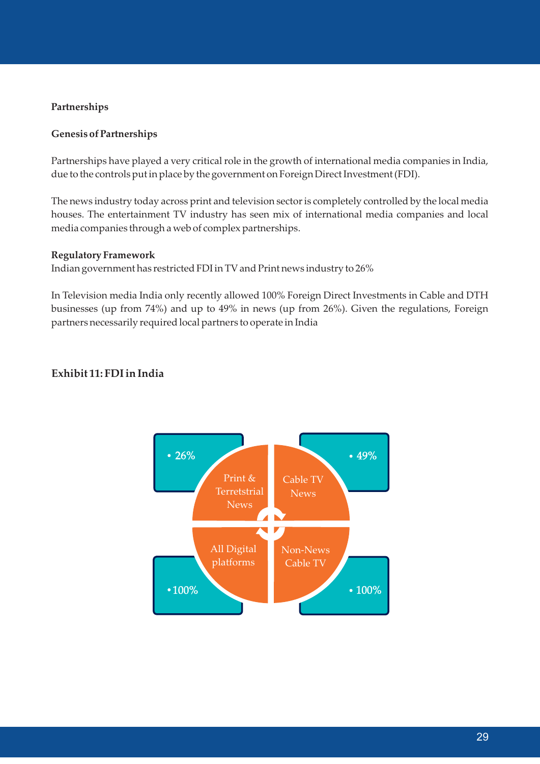#### **Partnerships**

#### **Genesis of Partnerships**

Partnerships have played a very critical role in the growth of international media companies in India, due to the controls put in place by the government on Foreign Direct Investment (FDI).

The news industry today across print and television sector is completely controlled by the local media houses. The entertainment TV industry has seen mix of international media companies and local media companies through a web of complex partnerships.

#### **Regulatory Framework**

Indian government has restricted FDI in TV and Print news industry to 26%

In Television media India only recently allowed 100% Foreign Direct Investments in Cable and DTH businesses (up from 74%) and up to 49% in news (up from 26%). Given the regulations, Foreign partners necessarily required local partners to operate in India

#### **Exhibit 11: FDI in India**

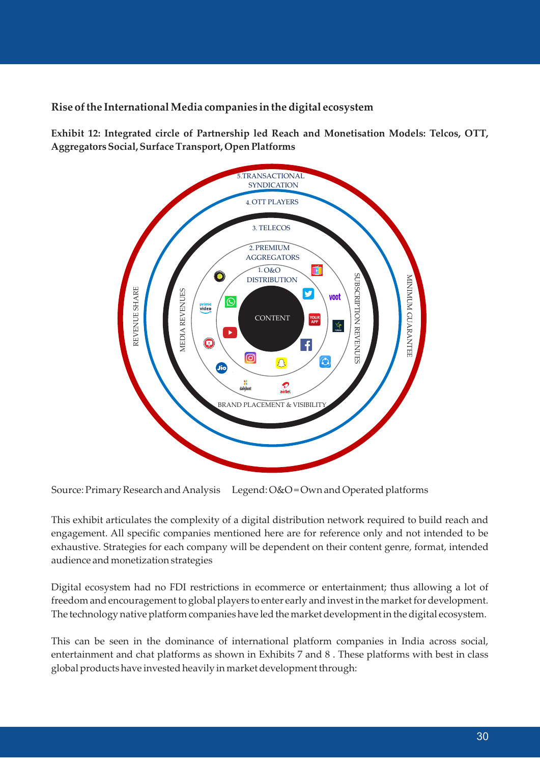**Rise of the International Media companies in the digital ecosystem**

**Exhibit 12: Integrated circle of Partnership led Reach and Monetisation Models: Telcos, OTT, Aggregators Social, Surface Transport, Open Platforms**



Source: Primary Research and Analysis Legend: O&O = Own and Operated platforms

This exhibit articulates the complexity of a digital distribution network required to build reach and engagement. All specific companies mentioned here are for reference only and not intended to be exhaustive. Strategies for each company will be dependent on their content genre, format, intended audience and monetization strategies

Digital ecosystem had no FDI restrictions in ecommerce or entertainment; thus allowing a lot of freedom and encouragement to global players to enter early and invest in the market for development. The technology native platform companies have led the market development in the digital ecosystem.

This can be seen in the dominance of international platform companies in India across social, entertainment and chat platforms as shown in Exhibits 7 and 8 . These platforms with best in class global products have invested heavily in market development through: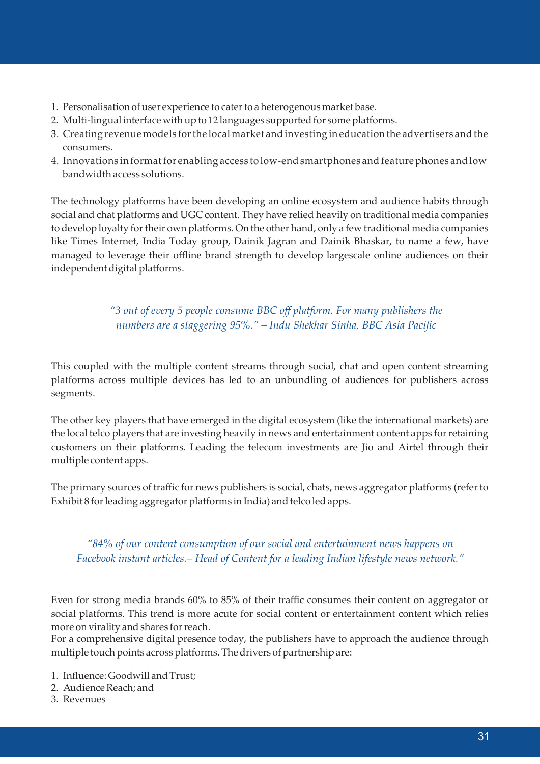- 1. Personalisation of user experience to cater to a heterogenous market base.
- 2. Multi-lingual interface with up to 12 languages supported for some platforms.
- 3. Creating revenue models for the local market and investing in education the advertisers and the consumers.
- 4. Innovations in format for enabling access to low-end smartphones and feature phones and low bandwidth access solutions.

The technology platforms have been developing an online ecosystem and audience habits through social and chat platforms and UGC content. They have relied heavily on traditional media companies to develop loyalty for their own platforms. On the other hand, only a few traditional media companies like Times Internet, India Today group, Dainik Jagran and Dainik Bhaskar, to name a few, have managed to leverage their offline brand strength to develop largescale online audiences on their independent digital platforms.

### *"3 out of every 5 people consume BBC off platform. For many publishers the numbers are a staggering 95%." – Indu Shekhar Sinha, BBC Asia Pacific*

This coupled with the multiple content streams through social, chat and open content streaming platforms across multiple devices has led to an unbundling of audiences for publishers across segments.

The other key players that have emerged in the digital ecosystem (like the international markets) are the local telco players that are investing heavily in news and entertainment content apps for retaining customers on their platforms. Leading the telecom investments are Jio and Airtel through their multiple content apps.

The primary sources of traffic for news publishers is social, chats, news aggregator platforms (refer to Exhibit 8 for leading aggregator platforms in India) and telco led apps.

*"84% of our content consumption of our social and entertainment news happens on Facebook instant articles.– Head of Content for a leading Indian lifestyle news network."*

Even for strong media brands 60% to 85% of their traffic consumes their content on aggregator or social platforms. This trend is more acute for social content or entertainment content which relies more on virality and shares for reach.

For a comprehensive digital presence today, the publishers have to approach the audience through multiple touch points across platforms. The drivers of partnership are:

- 1. Influence: Goodwill and Trust;
- 2. Audience Reach; and
- 3. Revenues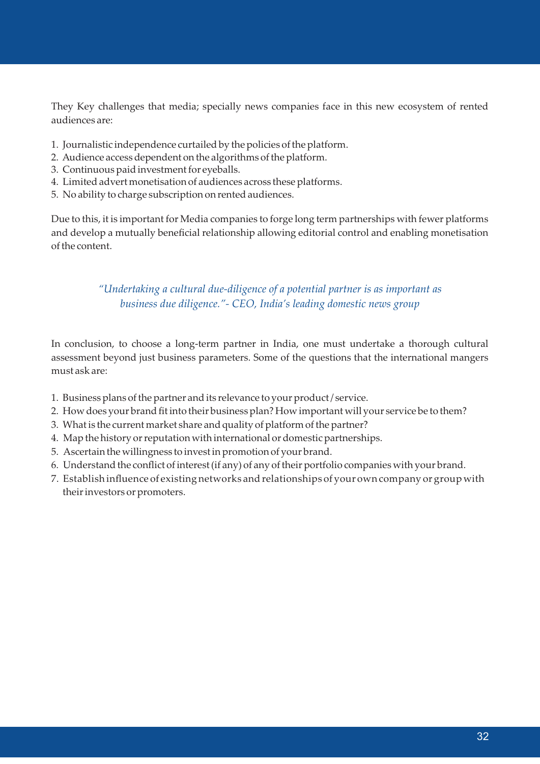They Key challenges that media; specially news companies face in this new ecosystem of rented audiences are:

- 1. Journalistic independence curtailed by the policies of the platform.
- 2. Audience access dependent on the algorithms of the platform.
- 3. Continuous paid investment for eyeballs.
- 4. Limited advert monetisation of audiences across these platforms.
- 5. No ability to charge subscription on rented audiences.

Due to this, it is important for Media companies to forge long term partnerships with fewer platforms and develop a mutually beneficial relationship allowing editorial control and enabling monetisation of the content.

### *"Undertaking a cultural due-diligence of a potential partner is as important as business due diligence."- CEO, India's leading domestic news group*

In conclusion, to choose a long-term partner in India, one must undertake a thorough cultural assessment beyond just business parameters. Some of the questions that the international mangers must ask are:

- 1. Business plans of the partner and its relevance to your product / service.
- 2. How does your brand fit into their business plan? How important will your service be to them?
- 3. What is the current market share and quality of platform of the partner?
- 4. Map the history or reputation with international or domestic partnerships.
- 5. Ascertain the willingness to invest in promotion of your brand.
- 6. Understand the conflict of interest (if any) of any of their portfolio companies with your brand.
- 7. Establish influence of existing networks and relationships of your own company or group with their investors or promoters.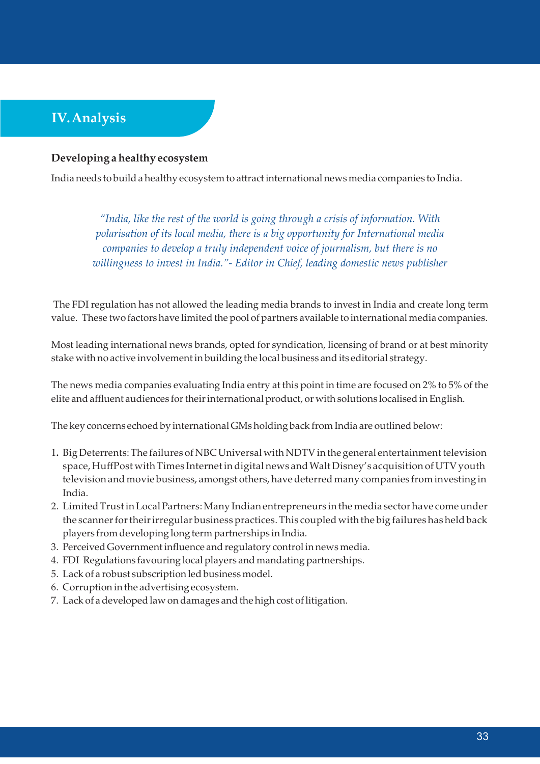# **IV. Analysis**

#### **Developing a healthy ecosystem**

India needs to build a healthy ecosystem to attract international news media companies to India.

*"India, like the rest of the world is going through a crisis of information. With polarisation of its local media, there is a big opportunity for International media companies to develop a truly independent voice of journalism, but there is no willingness to invest in India."- Editor in Chief, leading domestic news publisher*

The FDI regulation has not allowed the leading media brands to invest in India and create long term value. These two factors have limited the pool of partners available to international media companies.

Most leading international news brands, opted for syndication, licensing of brand or at best minority stake with no active involvement in building the local business and its editorial strategy.

The news media companies evaluating India entry at this point in time are focused on 2% to 5% of the elite and affluent audiences for their international product, or with solutions localised in English.

The key concerns echoed by international GMs holding back from India are outlined below:

- 1**.** Big Deterrents: The failures of NBC Universal with NDTV in the general entertainment television space, HuffPost with Times Internet in digital news and Walt Disney's acquisition of UTV youth television and movie business, amongst others, have deterred many companies from investing in India.
- 2. Limited Trust in Local Partners: Many Indian entrepreneurs in the media sector have come under the scanner for their irregular business practices. This coupled with the big failures has held back players from developing long term partnerships in India.
- 3. Perceived Government influence and regulatory control in news media.
- 4. FDI Regulations favouring local players and mandating partnerships.
- 5. Lack of a robust subscription led business model.
- 6. Corruption in the advertising ecosystem.
- 7. Lack of a developed law on damages and the high cost of litigation.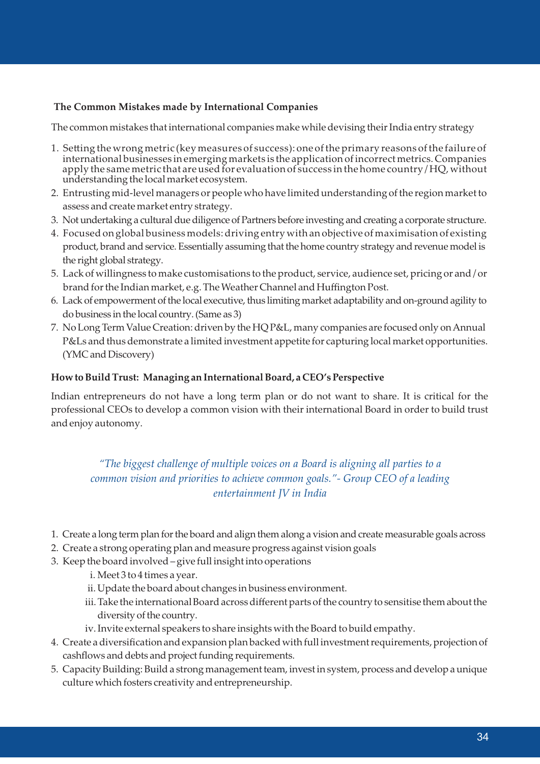#### **The Common Mistakes made by International Companies**

The common mistakes that international companies make while devising their India entry strategy

- 1. Setting the wrong metric (key measures of success): one of the primary reasons of the failure of international businesses in emerging markets is the application of incorrect metrics. Companies apply the same metric that are used for evaluation of success in the home country / HQ, without understanding the local market ecosystem.
- 2. Entrusting mid-level managers or people who have limited understanding of the region market to assess and create market entry strategy.
- 3. Not undertaking a cultural due diligence of Partners before investing and creating a corporate structure.
- 4. Focused on global business models: driving entry with an objective of maximisation of existing product, brand and service. Essentially assuming that the home country strategy and revenue model is the right global strategy.
- 5. Lack of willingness to make customisations to the product, service, audience set, pricing or and / or brand for the Indian market, e.g. The Weather Channel and Huffington Post.
- 6. Lack of empowerment of the local executive, thus limiting market adaptability and on-ground agility to do business in the local country. (Same as 3)
- 7. No Long Term Value Creation: driven by the HQ P&L, many companies are focused only on Annual P&Ls and thus demonstrate a limited investment appetite for capturing local market opportunities. (YMC and Discovery)

#### **How to Build Trust: Managing an International Board, a CEO's Perspective**

Indian entrepreneurs do not have a long term plan or do not want to share. It is critical for the professional CEOs to develop a common vision with their international Board in order to build trust and enjoy autonomy.

*"The biggest challenge of multiple voices on a Board is aligning all parties to a common vision and priorities to achieve common goals."- Group CEO of a leading entertainment JV in India* 

- 1. Create a long term plan for the board and align them along a vision and create measurable goals across
- 2. Create a strong operating plan and measure progress against vision goals
- 3. Keep the board involved give full insight into operations
	- i. Meet 3 to 4 times a year.
	- ii. Update the board about changes in business environment.
	- iii. Take the international Board across different parts of the country to sensitise them about the diversity of the country.
	- iv. Invite external speakers to share insights with the Board to build empathy.
- 4. Create a diversification and expansion plan backed with full investment requirements, projection of cashflows and debts and project funding requirements.
- 5. Capacity Building: Build a strong management team, invest in system, process and develop a unique culture which fosters creativity and entrepreneurship.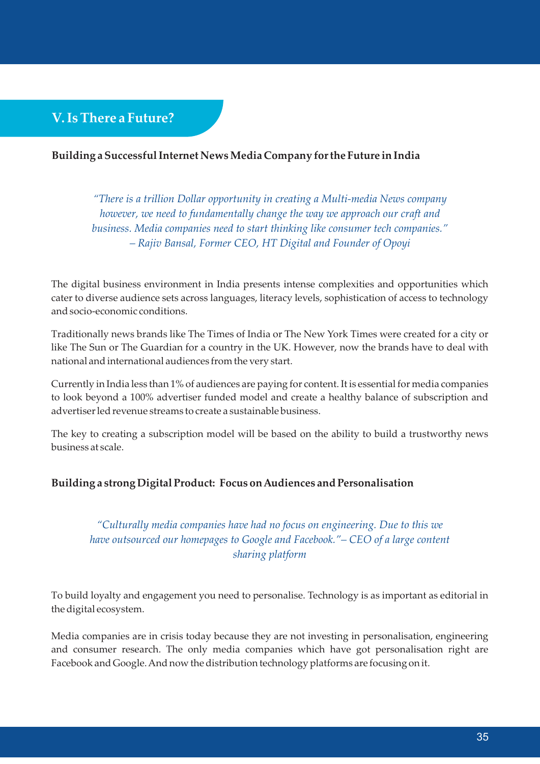# **V. Is There a Future?**

#### **Building a Successful Internet News Media Company for the Future in India**

*"There is a trillion Dollar opportunity in creating a Multi-media News company however, we need to fundamentally change the way we approach our craft and business. Media companies need to start thinking like consumer tech companies." – Rajiv Bansal, Former CEO, HT Digital and Founder of Opoyi*

The digital business environment in India presents intense complexities and opportunities which cater to diverse audience sets across languages, literacy levels, sophistication of access to technology and socio-economic conditions.

Traditionally news brands like The Times of India or The New York Times were created for a city or like The Sun or The Guardian for a country in the UK. However, now the brands have to deal with national and international audiences from the very start.

Currently in India less than 1% of audiences are paying for content. It is essential for media companies to look beyond a 100% advertiser funded model and create a healthy balance of subscription and advertiser led revenue streams to create a sustainable business.

The key to creating a subscription model will be based on the ability to build a trustworthy news business at scale.

#### **Building a strong Digital Product: Focus on Audiences and Personalisation**

*"Culturally media companies have had no focus on engineering. Due to this we have outsourced our homepages to Google and Facebook."– CEO of a large content sharing platform*

To build loyalty and engagement you need to personalise. Technology is as important as editorial in the digital ecosystem.

Media companies are in crisis today because they are not investing in personalisation, engineering and consumer research. The only media companies which have got personalisation right are Facebook and Google. And now the distribution technology platforms are focusing on it.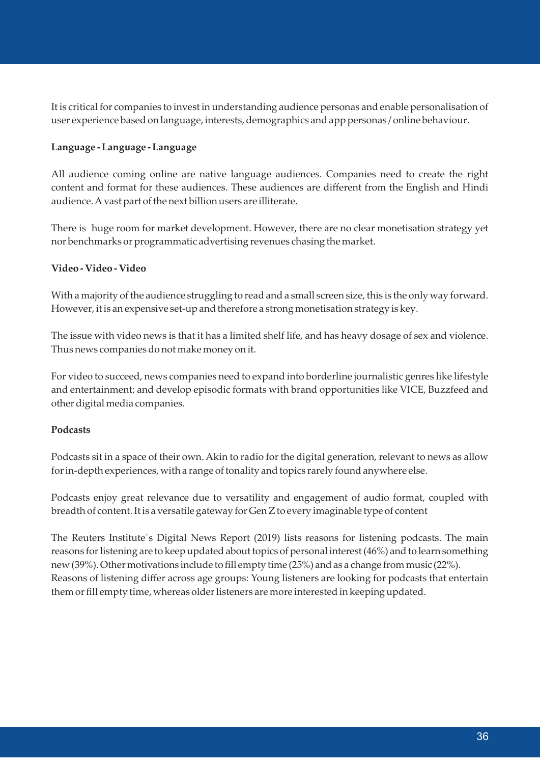It is critical for companies to invest in understanding audience personas and enable personalisation of user experience based on language, interests, demographics and app personas / online behaviour.

#### **Language - Language - Language**

All audience coming online are native language audiences. Companies need to create the right content and format for these audiences. These audiences are different from the English and Hindi audience. A vast part of the next billion users are illiterate.

There is huge room for market development. However, there are no clear monetisation strategy yet nor benchmarks or programmatic advertising revenues chasing the market.

#### **Video - Video - Video**

With a majority of the audience struggling to read and a small screen size, this is the only way forward. However, it is an expensive set-up and therefore a strong monetisation strategy is key.

The issue with video news is that it has a limited shelf life, and has heavy dosage of sex and violence. Thus news companies do not make money on it.

For video to succeed, news companies need to expand into borderline journalistic genres like lifestyle and entertainment; and develop episodic formats with brand opportunities like VICE, Buzzfeed and other digital media companies.

#### **Podcasts**

Podcasts sit in a space of their own. Akin to radio for the digital generation, relevant to news as allow for in-depth experiences, with a range of tonality and topics rarely found anywhere else.

Podcasts enjoy great relevance due to versatility and engagement of audio format, coupled with breadth of content. It is a versatile gateway for Gen Z to every imaginable type of content

The Reuters Institute´s Digital News Report (2019) lists reasons for listening podcasts. The main reasons for listening are to keep updated about topics of personal interest (46%) and to learn something new (39%). Other motivations include to fill empty time (25%) and as a change from music (22%). Reasons of listening differ across age groups: Young listeners are looking for podcasts that entertain them or fill empty time, whereas older listeners are more interested in keeping updated.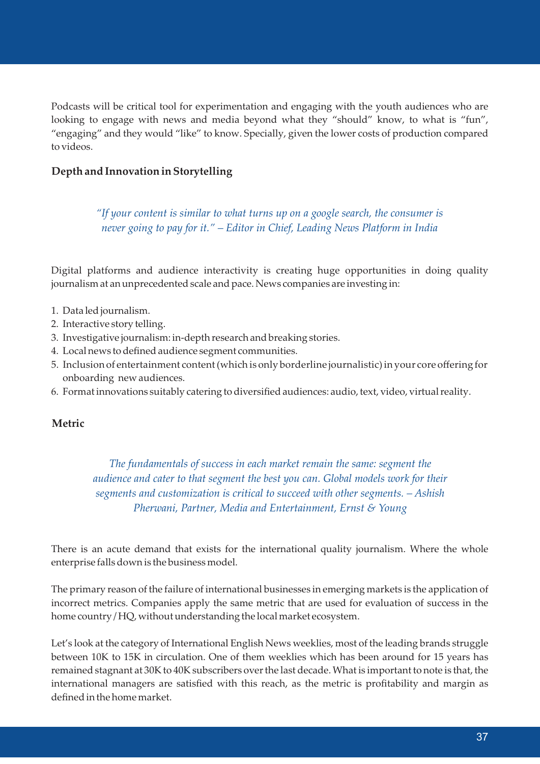Podcasts will be critical tool for experimentation and engaging with the youth audiences who are looking to engage with news and media beyond what they "should" know, to what is "fun", "engaging" and they would "like" to know. Specially, given the lower costs of production compared to videos.

#### **Depth and Innovation in Storytelling**

*"If your content is similar to what turns up on a google search, the consumer is never going to pay for it." – Editor in Chief, Leading News Platform in India*

Digital platforms and audience interactivity is creating huge opportunities in doing quality journalism at an unprecedented scale and pace. News companies are investing in:

- 1. Data led journalism.
- 2. Interactive story telling.
- 3. Investigative journalism: in-depth research and breaking stories.
- 4. Local news to defined audience segment communities.
- 5. Inclusion of entertainment content (which is only borderline journalistic) in your core offering for onboarding new audiences.
- 6. Format innovations suitably catering to diversified audiences: audio, text, video, virtual reality.

#### **Metric**

*The fundamentals of success in each market remain the same: segment the audience and cater to that segment the best you can. Global models work for their segments and customization is critical to succeed with other segments. – Ashish Pherwani, Partner, Media and Entertainment, Ernst & Young*

There is an acute demand that exists for the international quality journalism. Where the whole enterprise falls down is the business model.

The primary reason of the failure of international businesses in emerging markets is the application of incorrect metrics. Companies apply the same metric that are used for evaluation of success in the home country / HQ, without understanding the local market ecosystem.

Let's look at the category of International English News weeklies, most of the leading brands struggle between 10K to 15K in circulation. One of them weeklies which has been around for 15 years has remained stagnant at 30K to 40K subscribers over the last decade. What is important to note is that, the international managers are satisfied with this reach, as the metric is profitability and margin as defined in the home market.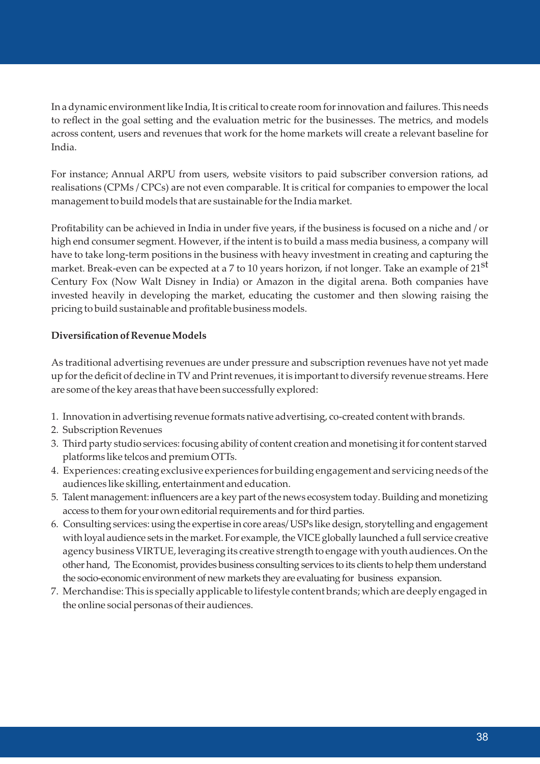In a dynamic environment like India, It is critical to create room for innovation and failures. This needs to reflect in the goal setting and the evaluation metric for the businesses. The metrics, and models across content, users and revenues that work for the home markets will create a relevant baseline for India.

For instance; Annual ARPU from users, website visitors to paid subscriber conversion rations, ad realisations (CPMs / CPCs) are not even comparable. It is critical for companies to empower the local management to build models that are sustainable for the India market.

Profitability can be achieved in India in under five years, if the business is focused on a niche and / or high end consumer segment. However, if the intent is to build a mass media business, a company will have to take long-term positions in the business with heavy investment in creating and capturing the market. Break-even can be expected at a 7 to 10 years horizon, if not longer. Take an example of  $21^{st}$ Century Fox (Now Walt Disney in India) or Amazon in the digital arena. Both companies have invested heavily in developing the market, educating the customer and then slowing raising the pricing to build sustainable and profitable business models.

#### **Diversification of Revenue Models**

As traditional advertising revenues are under pressure and subscription revenues have not yet made up for the deficit of decline in TV and Print revenues, it is important to diversify revenue streams. Here are some of the key areas that have been successfully explored:

- 1. Innovation in advertising revenue formats native advertising, co-created content with brands.
- 2. Subscription Revenues
- 3. Third party studio services: focusing ability of content creation and monetising it for content starved platforms like telcos and premium OTTs.
- 4. Experiences: creating exclusive experiences for building engagement and servicing needs of the audiences like skilling, entertainment and education.
- 5. Talent management: influencers are a key part of the news ecosystem today. Building and monetizing access to them for your own editorial requirements and for third parties.
- 6. Consulting services: using the expertise in core areas/ USPs like design, storytelling and engagement with loyal audience sets in the market. For example, the VICE globally launched a full service creative agency business VIRTUE, leveraging its creative strength to engage with youth audiences. On the other hand, The Economist, provides business consulting services to its clients to help them understand the socio-economic environment of new markets they are evaluating for business expansion.
- 7.Merchandise: This is specially applicable to lifestyle content brands; which are deeply engaged in the online social personas of their audiences.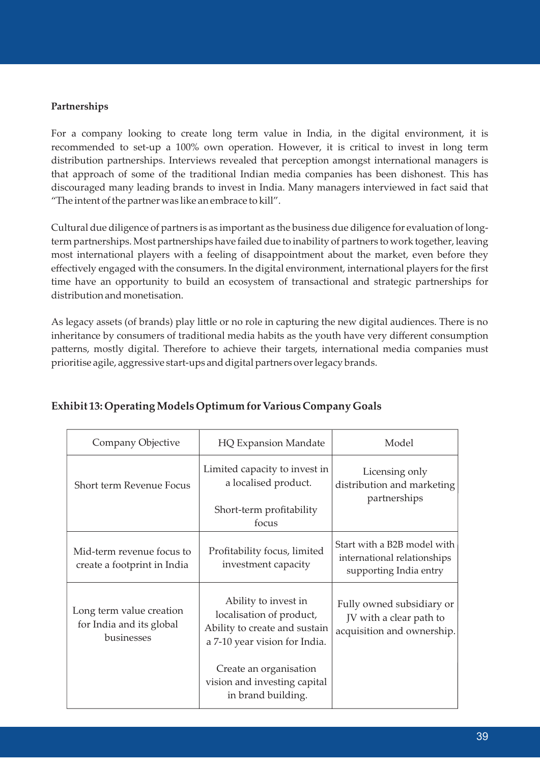#### **Partnerships**

For a company looking to create long term value in India, in the digital environment, it is recommended to set-up a 100% own operation. However, it is critical to invest in long term distribution partnerships. Interviews revealed that perception amongst international managers is that approach of some of the traditional Indian media companies has been dishonest. This has discouraged many leading brands to invest in India. Many managers interviewed in fact said that "The intent of the partner was like an embrace to kill".

Cultural due diligence of partners is as important as the business due diligence for evaluation of longterm partnerships. Most partnerships have failed due to inability of partners to work together, leaving most international players with a feeling of disappointment about the market, even before they effectively engaged with the consumers. In the digital environment, international players for the first time have an opportunity to build an ecosystem of transactional and strategic partnerships for distribution and monetisation.

As legacy assets (of brands) play little or no role in capturing the new digital audiences. There is no inheritance by consumers of traditional media habits as the youth have very different consumption patterns, mostly digital. Therefore to achieve their targets, international media companies must prioritise agile, aggressive start-ups and digital partners over legacy brands.

| Company Objective                                                  | <b>HQ Expansion Mandate</b>                                                                                                                  | Model                                                                                |
|--------------------------------------------------------------------|----------------------------------------------------------------------------------------------------------------------------------------------|--------------------------------------------------------------------------------------|
| Short term Revenue Focus                                           | Limited capacity to invest in<br>a localised product.<br>Short-term profitability<br>focus                                                   | Licensing only<br>distribution and marketing<br>partnerships                         |
| Mid-term revenue focus to<br>create a footprint in India           | Profitability focus, limited<br>investment capacity                                                                                          | Start with a B2B model with<br>international relationships<br>supporting India entry |
| Long term value creation<br>for India and its global<br>businesses | Ability to invest in<br>localisation of product,<br>Ability to create and sustain<br>a 7-10 year vision for India.<br>Create an organisation | Fully owned subsidiary or<br>JV with a clear path to<br>acquisition and ownership.   |
|                                                                    | vision and investing capital<br>in brand building.                                                                                           |                                                                                      |

#### **Exhibit 13: Operating Models Optimum for Various Company Goals**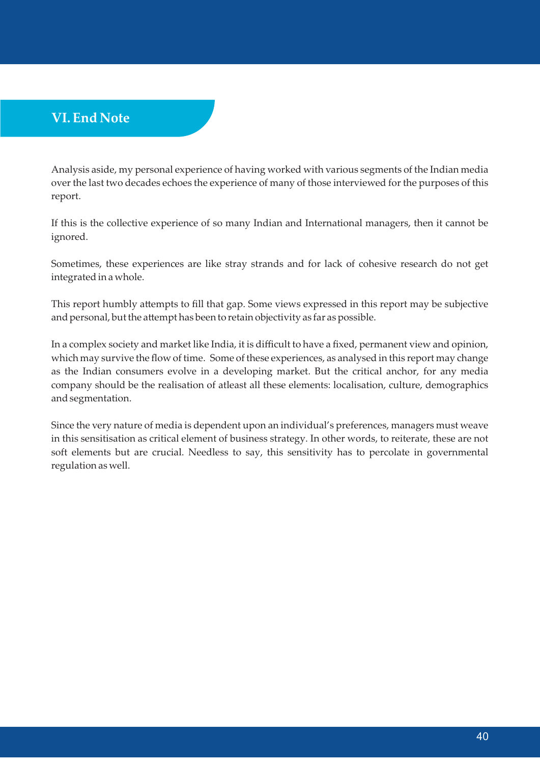# **VI. End Note**

Analysis aside, my personal experience of having worked with various segments of the Indian media over the last two decades echoes the experience of many of those interviewed for the purposes of this report.

If this is the collective experience of so many Indian and International managers, then it cannot be ignored.

Sometimes, these experiences are like stray strands and for lack of cohesive research do not get integrated in a whole.

This report humbly attempts to fill that gap. Some views expressed in this report may be subjective and personal, but the attempt has been to retain objectivity as far as possible.

In a complex society and market like India, it is difficult to have a fixed, permanent view and opinion, which may survive the flow of time. Some of these experiences, as analysed in this report may change as the Indian consumers evolve in a developing market. But the critical anchor, for any media company should be the realisation of atleast all these elements: localisation, culture, demographics and segmentation.

Since the very nature of media is dependent upon an individual's preferences, managers must weave in this sensitisation as critical element of business strategy. In other words, to reiterate, these are not soft elements but are crucial. Needless to say, this sensitivity has to percolate in governmental regulation as well.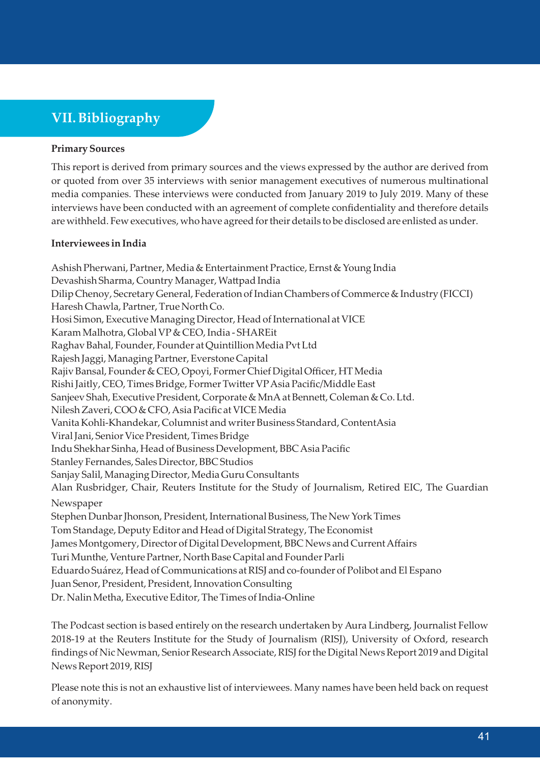# **VII. Bibliography**

#### **Primary Sources**

This report is derived from primary sources and the views expressed by the author are derived from or quoted from over 35 interviews with senior management executives of numerous multinational media companies. These interviews were conducted from January 2019 to July 2019. Many of these interviews have been conducted with an agreement of complete confidentiality and therefore details are withheld. Few executives, who have agreed for their details to be disclosed are enlisted as under.

#### **Interviewees in India**

Ashish Pherwani, Partner, Media & Entertainment Practice, Ernst & Young India Devashish Sharma, Country Manager, Wattpad India Dilip Chenoy, Secretary General, Federation of Indian Chambers of Commerce & Industry (FICCI) Haresh Chawla, Partner, True North Co. Hosi Simon, Executive Managing Director, Head of International at VICE Karam Malhotra, Global VP & CEO, India - SHAREit Raghav Bahal, Founder, Founder at Quintillion Media Pvt Ltd Rajesh Jaggi, Managing Partner, Everstone Capital Rajiv Bansal, Founder & CEO, Opoyi, Former Chief Digital Officer, HT Media Rishi Jaitly, CEO, Times Bridge, Former Twitter VP Asia Pacific/Middle East Sanjeev Shah, Executive President, Corporate & MnA at Bennett, Coleman & Co. Ltd. Nilesh Zaveri, COO & CFO, Asia Pacific at VICE Media Vanita Kohli-Khandekar, Columnist and writer Business Standard, ContentAsia Viral Jani, Senior Vice President, Times Bridge Indu Shekhar Sinha, Head of Business Development, BBC Asia Pacific Stanley Fernandes, Sales Director, BBC Studios Sanjay Salil, Managing Director, Media Guru Consultants Alan Rusbridger, Chair, Reuters Institute for the Study of Journalism, Retired EIC, The Guardian Newspaper Stephen Dunbar Jhonson, President, International Business, The New York Times Tom Standage, Deputy Editor and Head of Digital Strategy, The Economist James Montgomery, Director of Digital Development, BBC News and Current Affairs Turi Munthe, Venture Partner, North Base Capital and Founder Parli Eduardo Suárez, Head of Communications at RISJ and co-founder of Polibot and El Espano Juan Senor, President, President, Innovation Consulting Dr. Nalin Metha, Executive Editor, The Times of India-Online

The Podcast section is based entirely on the research undertaken by Aura Lindberg, Journalist Fellow 2018-19 at the Reuters Institute for the Study of Journalism (RISJ), University of Oxford, research findings of Nic Newman, Senior Research Associate, RISJ for the Digital News Report 2019 and Digital News Report 2019, RISJ

Please note this is not an exhaustive list of interviewees. Many names have been held back on request of anonymity.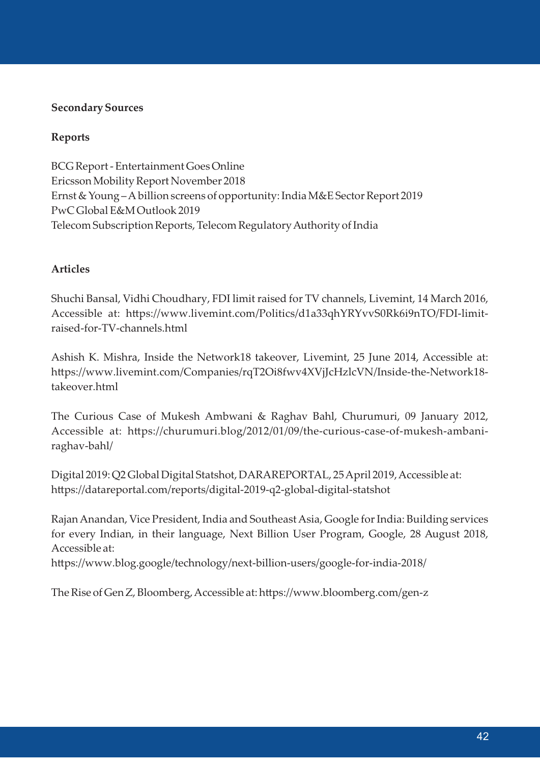#### **Secondary Sources**

#### **Reports**

BCG Report - Entertainment Goes Online Ericsson Mobility Report November 2018 Ernst & Young – A billion screens of opportunity: India M&E Sector Report 2019 PwC Global E&M Outlook 2019 Telecom Subscription Reports, Telecom Regulatory Authority of India

#### **Articles**

Shuchi Bansal, Vidhi Choudhary, FDI limit raised for TV channels, Livemint, 14 March 2016, Accessible at: https://www.livemint.com/Politics/d1a33qhYRYvvS0Rk6i9nTO/FDI-limitraised-for-TV-channels.html

Ashish K. Mishra, Inside the Network18 takeover, Livemint, 25 June 2014, Accessible at: https://www.livemint.com/Companies/rqT2Oi8fwv4XVjJcHzlcVN/Inside-the-Network18takeover.html

The Curious Case of Mukesh Ambwani & Raghav Bahl, Churumuri, 09 January 2012, Accessible at: https://churumuri.blog/2012/01/09/the-curious-case-of-mukesh-ambaniraghav-bahl/

Digital 2019: Q2 Global Digital Statshot, DARAREPORTAL, 25 April 2019, Accessible at: https://datareportal.com/reports/digital-2019-q2-global-digital-statshot

Rajan Anandan, Vice President, India and Southeast Asia, Google for India: Building services for every Indian, in their language, Next Billion User Program, Google, 28 August 2018, Accessible at:

https://www.blog.google/technology/next-billion-users/google-for-india-2018/

The Rise of Gen Z, Bloomberg, Accessible at: https://www.bloomberg.com/gen-z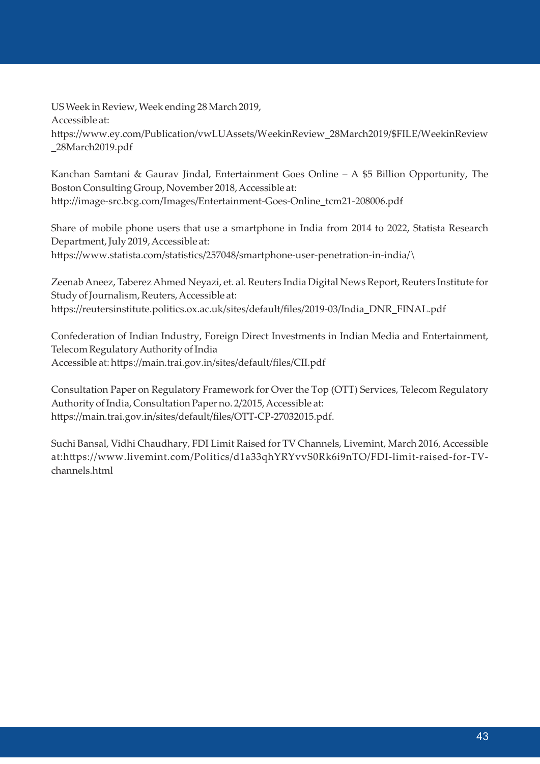US Week in Review, Week ending 28 March 2019, Accessible at: https://www.ey.com/Publication/vwLUAssets/WeekinReview\_28March2019/\$FILE/WeekinReview \_28March2019.pdf

Kanchan Samtani & Gaurav Jindal, Entertainment Goes Online – A \$5 Billion Opportunity, The Boston Consulting Group, November 2018, Accessible at: hp://image-src.bcg.com/Images/Entertainment-Goes-Online\_tcm21-208006.pdf

Share of mobile phone users that use a smartphone in India from 2014 to 2022, Statista Research Department, July 2019, Accessible at: https://www.statista.com/statistics/257048/smartphone-user-penetration-in-india/\

Zeenab Aneez, Taberez Ahmed Neyazi, et. al. Reuters India Digital News Report, Reuters Institute for Study of Journalism, Reuters, Accessible at: https://reutersinstitute.politics.ox.ac.uk/sites/default/files/2019-03/India\_DNR\_FINAL.pdf

Confederation of Indian Industry, Foreign Direct Investments in Indian Media and Entertainment, Telecom Regulatory Authority of India Accessible at: https://main.trai.gov.in/sites/default/files/CII.pdf

Consultation Paper on Regulatory Framework for Over the Top (OTT) Services, Telecom Regulatory Authority of India, Consultation Paper no. 2/2015, Accessible at: https://main.trai.gov.in/sites/default/files/OTT-CP-27032015.pdf.

Suchi Bansal, Vidhi Chaudhary, FDI Limit Raised for TV Channels, Livemint, March 2016, Accessible at:https://www.livemint.com/Politics/d1a33qhYRYvvS0Rk6i9nTO/FDI-limit-raised-for-TVchannels.html